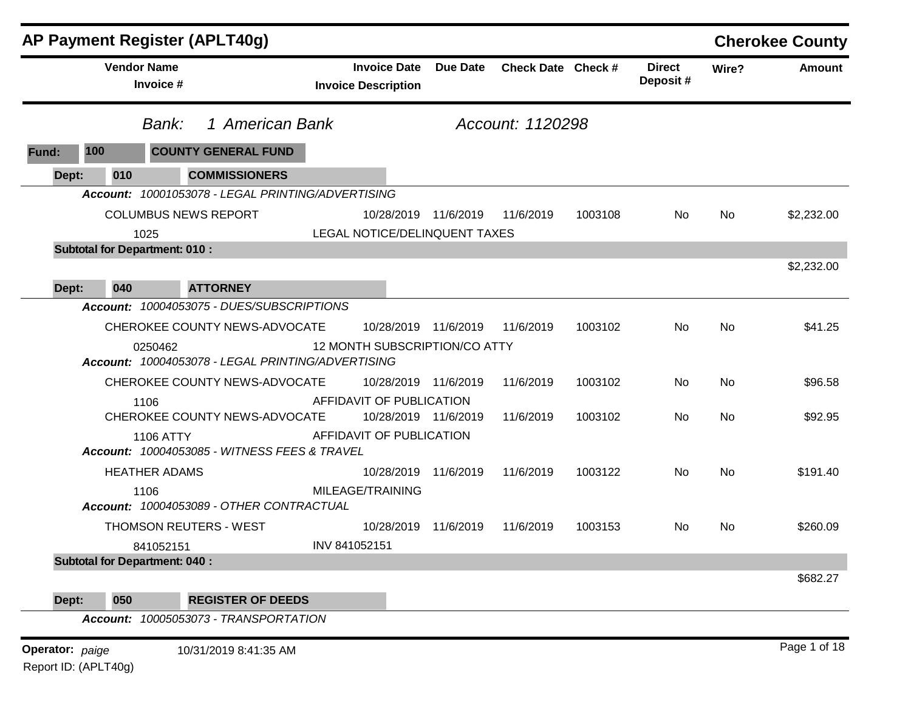|                 |                                              | AP Payment Register (APLT40g)                     |                                                   |           |                    |         |                           |       | <b>Cherokee County</b> |
|-----------------|----------------------------------------------|---------------------------------------------------|---------------------------------------------------|-----------|--------------------|---------|---------------------------|-------|------------------------|
|                 | <b>Vendor Name</b><br>Invoice #              |                                                   | <b>Invoice Date</b><br><b>Invoice Description</b> | Due Date  | Check Date Check # |         | <b>Direct</b><br>Deposit# | Wire? | Amount                 |
|                 | Bank:                                        | 1 American Bank                                   |                                                   |           | Account: 1120298   |         |                           |       |                        |
| Fund:           | 100                                          | <b>COUNTY GENERAL FUND</b>                        |                                                   |           |                    |         |                           |       |                        |
| Dept:           | 010                                          | <b>COMMISSIONERS</b>                              |                                                   |           |                    |         |                           |       |                        |
|                 |                                              | Account: 10001053078 - LEGAL PRINTING/ADVERTISING |                                                   |           |                    |         |                           |       |                        |
|                 |                                              | <b>COLUMBUS NEWS REPORT</b>                       | 10/28/2019 11/6/2019                              |           | 11/6/2019          | 1003108 | No                        | No    | \$2,232.00             |
|                 | 1025<br><b>Subtotal for Department: 010:</b> |                                                   | LEGAL NOTICE/DELINQUENT TAXES                     |           |                    |         |                           |       |                        |
|                 |                                              |                                                   |                                                   |           |                    |         |                           |       | \$2,232.00             |
| Dept:           | 040                                          | <b>ATTORNEY</b>                                   |                                                   |           |                    |         |                           |       |                        |
|                 |                                              | Account: 10004053075 - DUES/SUBSCRIPTIONS         |                                                   |           |                    |         |                           |       |                        |
|                 |                                              | CHEROKEE COUNTY NEWS-ADVOCATE                     | 10/28/2019 11/6/2019                              |           | 11/6/2019          | 1003102 | No                        | No    | \$41.25                |
|                 | 0250462                                      | Account: 10004053078 - LEGAL PRINTING/ADVERTISING | 12 MONTH SUBSCRIPTION/CO ATTY                     |           |                    |         |                           |       |                        |
|                 |                                              | CHEROKEE COUNTY NEWS-ADVOCATE                     | 10/28/2019                                        | 11/6/2019 | 11/6/2019          | 1003102 | No                        | No    | \$96.58                |
|                 | 1106                                         | CHEROKEE COUNTY NEWS-ADVOCATE                     | AFFIDAVIT OF PUBLICATION<br>10/28/2019 11/6/2019  |           | 11/6/2019          | 1003102 | No                        | No    | \$92.95                |
|                 | <b>1106 ATTY</b>                             | Account: 10004053085 - WITNESS FEES & TRAVEL      | AFFIDAVIT OF PUBLICATION                          |           |                    |         |                           |       |                        |
|                 | <b>HEATHER ADAMS</b>                         |                                                   | 10/28/2019                                        | 11/6/2019 | 11/6/2019          | 1003122 | No                        | No    | \$191.40               |
|                 | 1106                                         | Account: 10004053089 - OTHER CONTRACTUAL          | MILEAGE/TRAINING                                  |           |                    |         |                           |       |                        |
|                 |                                              | <b>THOMSON REUTERS - WEST</b>                     | 10/28/2019                                        | 11/6/2019 | 11/6/2019          | 1003153 | No                        | No    | \$260.09               |
|                 | 841052151                                    |                                                   | INV 841052151                                     |           |                    |         |                           |       |                        |
|                 | <b>Subtotal for Department: 040:</b>         |                                                   |                                                   |           |                    |         |                           |       |                        |
|                 |                                              |                                                   |                                                   |           |                    |         |                           |       | \$682.27               |
| Dept:           | 050                                          | <b>REGISTER OF DEEDS</b>                          |                                                   |           |                    |         |                           |       |                        |
|                 |                                              | Account: 10005053073 - TRANSPORTATION             |                                                   |           |                    |         |                           |       |                        |
| Operator: paige |                                              | 10/31/2019 8:41:35 AM                             |                                                   |           |                    |         |                           |       | Page 1 of 18           |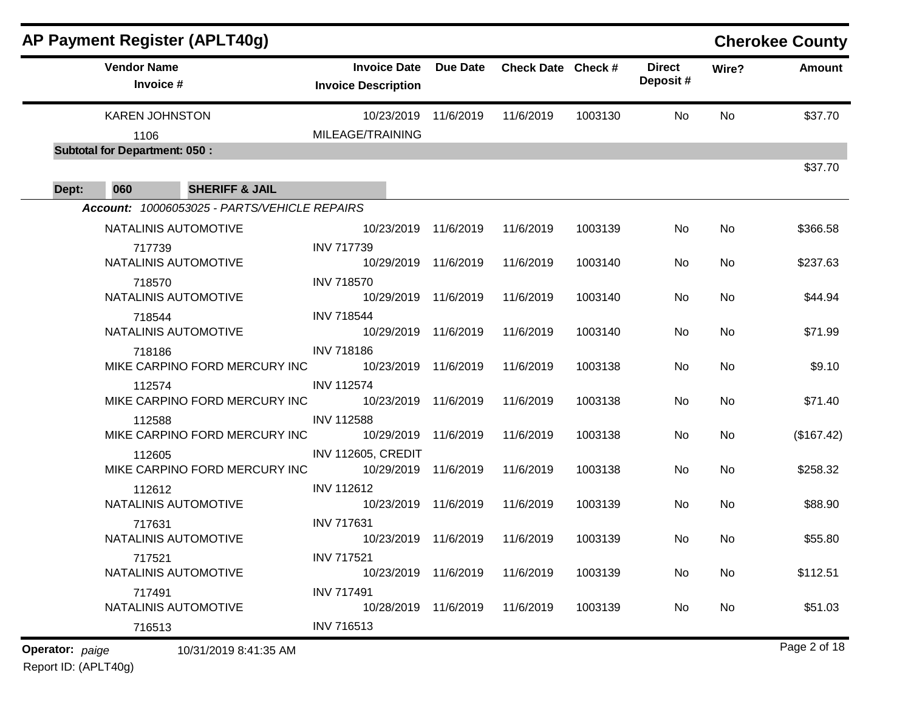|                 | <b>AP Payment Register (APLT40g)</b>         |                                                   |                 |                    |         |                           |           | <b>Cherokee County</b> |
|-----------------|----------------------------------------------|---------------------------------------------------|-----------------|--------------------|---------|---------------------------|-----------|------------------------|
|                 | <b>Vendor Name</b><br>Invoice #              | <b>Invoice Date</b><br><b>Invoice Description</b> | <b>Due Date</b> | Check Date Check # |         | <b>Direct</b><br>Deposit# | Wire?     | <b>Amount</b>          |
|                 | <b>KAREN JOHNSTON</b>                        | 10/23/2019                                        | 11/6/2019       | 11/6/2019          | 1003130 | No                        | No        | \$37.70                |
|                 | 1106                                         | MILEAGE/TRAINING                                  |                 |                    |         |                           |           |                        |
|                 | <b>Subtotal for Department: 050:</b>         |                                                   |                 |                    |         |                           |           | \$37.70                |
| Dept:           | <b>SHERIFF &amp; JAIL</b><br>060             |                                                   |                 |                    |         |                           |           |                        |
|                 | Account: 10006053025 - PARTS/VEHICLE REPAIRS |                                                   |                 |                    |         |                           |           |                        |
|                 | NATALINIS AUTOMOTIVE                         | 10/23/2019                                        | 11/6/2019       | 11/6/2019          | 1003139 | No                        | No        | \$366.58               |
|                 | 717739                                       | <b>INV 717739</b>                                 |                 |                    |         |                           |           |                        |
|                 | NATALINIS AUTOMOTIVE                         | 10/29/2019                                        | 11/6/2019       | 11/6/2019          | 1003140 | No                        | No        | \$237.63               |
|                 | 718570                                       | <b>INV 718570</b>                                 |                 |                    |         |                           |           |                        |
|                 | NATALINIS AUTOMOTIVE                         | 10/29/2019                                        | 11/6/2019       | 11/6/2019          | 1003140 | No                        | No        | \$44.94                |
|                 | 718544<br>NATALINIS AUTOMOTIVE               | <b>INV 718544</b>                                 |                 |                    |         |                           |           |                        |
|                 | 718186                                       | 10/29/2019<br><b>INV 718186</b>                   | 11/6/2019       | 11/6/2019          | 1003140 | No                        | No        | \$71.99                |
|                 | MIKE CARPINO FORD MERCURY INC                | 10/23/2019                                        | 11/6/2019       | 11/6/2019          | 1003138 | No                        | No        | \$9.10                 |
|                 | 112574                                       | <b>INV 112574</b>                                 |                 |                    |         |                           |           |                        |
|                 | MIKE CARPINO FORD MERCURY INC                | 10/23/2019                                        | 11/6/2019       | 11/6/2019          | 1003138 | No                        | No        | \$71.40                |
|                 | 112588                                       | <b>INV 112588</b>                                 |                 |                    |         |                           |           |                        |
|                 | MIKE CARPINO FORD MERCURY INC                | 10/29/2019                                        | 11/6/2019       | 11/6/2019          | 1003138 | No                        | No        | (\$167.42)             |
|                 | 112605                                       | <b>INV 112605, CREDIT</b>                         |                 |                    |         |                           |           |                        |
|                 | MIKE CARPINO FORD MERCURY INC                | 10/29/2019                                        | 11/6/2019       | 11/6/2019          | 1003138 | No                        | No        | \$258.32               |
|                 | 112612<br>NATALINIS AUTOMOTIVE               | <b>INV 112612</b><br>10/23/2019                   | 11/6/2019       | 11/6/2019          | 1003139 | No                        | <b>No</b> | \$88.90                |
|                 | 717631                                       | <b>INV 717631</b>                                 |                 |                    |         |                           |           |                        |
|                 | NATALINIS AUTOMOTIVE                         | 10/23/2019 11/6/2019                              |                 | 11/6/2019          | 1003139 | No                        | No        | \$55.80                |
|                 | 717521                                       | <b>INV 717521</b>                                 |                 |                    |         |                           |           |                        |
|                 | NATALINIS AUTOMOTIVE                         | 10/23/2019                                        | 11/6/2019       | 11/6/2019          | 1003139 | No                        | No        | \$112.51               |
|                 | 717491                                       | <b>INV 717491</b>                                 |                 |                    |         |                           |           |                        |
|                 | NATALINIS AUTOMOTIVE                         | 10/28/2019                                        | 11/6/2019       | 11/6/2019          | 1003139 | No                        | No        | \$51.03                |
| Operator: paige | 716513                                       | <b>INV 716513</b>                                 |                 |                    |         |                           |           | Page 2 of 18           |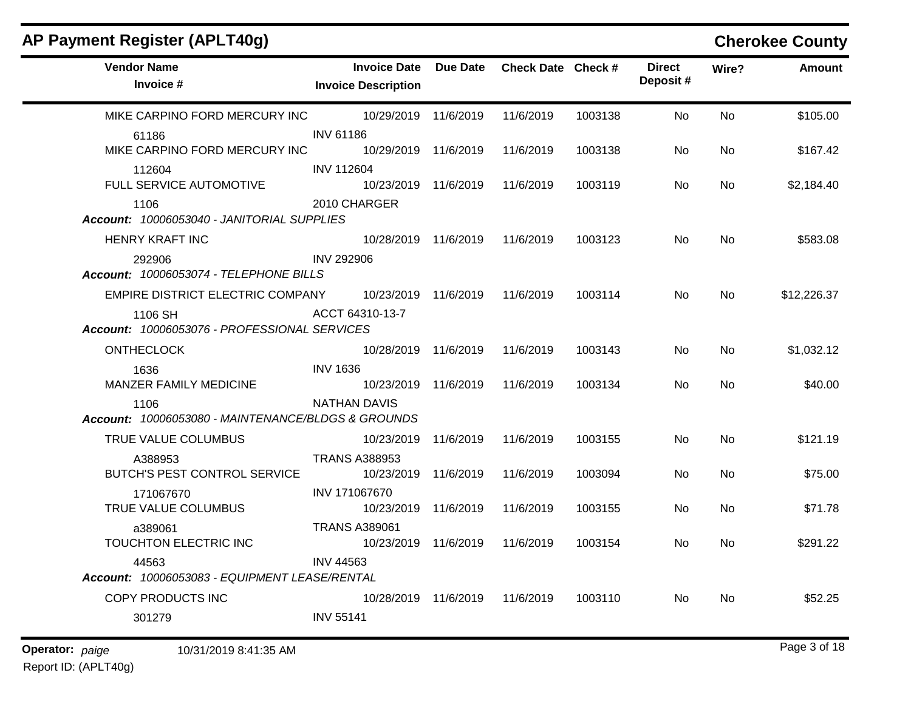| AP Payment Register (APLT40g)                              |                                                   |                 |                    |         |                           |       | <b>Cherokee County</b> |
|------------------------------------------------------------|---------------------------------------------------|-----------------|--------------------|---------|---------------------------|-------|------------------------|
| <b>Vendor Name</b><br>Invoice #                            | <b>Invoice Date</b><br><b>Invoice Description</b> | <b>Due Date</b> | Check Date Check # |         | <b>Direct</b><br>Deposit# | Wire? | <b>Amount</b>          |
| MIKE CARPINO FORD MERCURY INC                              | 10/29/2019 11/6/2019                              |                 | 11/6/2019          | 1003138 | No                        | No    | \$105.00               |
| 61186<br>MIKE CARPINO FORD MERCURY INC                     | <b>INV 61186</b><br>10/29/2019 11/6/2019          |                 | 11/6/2019          | 1003138 | No                        | No    | \$167.42               |
| 112604<br>FULL SERVICE AUTOMOTIVE                          | <b>INV 112604</b><br>10/23/2019                   | 11/6/2019       | 11/6/2019          | 1003119 | No                        | No    | \$2,184.40             |
| 1106<br>Account: 10006053040 - JANITORIAL SUPPLIES         | 2010 CHARGER                                      |                 |                    |         |                           |       |                        |
| HENRY KRAFT INC                                            | 10/28/2019 11/6/2019                              |                 | 11/6/2019          | 1003123 | No                        | No    | \$583.08               |
| 292906<br>Account: 10006053074 - TELEPHONE BILLS           | <b>INV 292906</b>                                 |                 |                    |         |                           |       |                        |
| EMPIRE DISTRICT ELECTRIC COMPANY                           | 10/23/2019                                        | 11/6/2019       | 11/6/2019          | 1003114 | No                        | No    | \$12,226.37            |
| 1106 SH<br>Account: 10006053076 - PROFESSIONAL SERVICES    | ACCT 64310-13-7                                   |                 |                    |         |                           |       |                        |
| <b>ONTHECLOCK</b>                                          | 10/28/2019 11/6/2019                              |                 | 11/6/2019          | 1003143 | No                        | No    | \$1,032.12             |
| 1636<br>MANZER FAMILY MEDICINE                             | <b>INV 1636</b><br>10/23/2019 11/6/2019           |                 | 11/6/2019          | 1003134 | No.                       | No    | \$40.00                |
| 1106<br>Account: 10006053080 - MAINTENANCE/BLDGS & GROUNDS | <b>NATHAN DAVIS</b>                               |                 |                    |         |                           |       |                        |
| TRUE VALUE COLUMBUS                                        | 10/23/2019                                        | 11/6/2019       | 11/6/2019          | 1003155 | No                        | No    | \$121.19               |
| A388953<br>BUTCH'S PEST CONTROL SERVICE                    | <b>TRANS A388953</b><br>10/23/2019                | 11/6/2019       | 11/6/2019          | 1003094 | No                        | No    | \$75.00                |
| 171067670<br>TRUE VALUE COLUMBUS                           | INV 171067670<br>10/23/2019                       | 11/6/2019       | 11/6/2019          | 1003155 | No                        | No.   | \$71.78                |
| a389061<br>TOUCHTON ELECTRIC INC                           | <b>TRANS A389061</b><br>10/23/2019 11/6/2019      |                 | 11/6/2019          | 1003154 | No.                       | No.   | \$291.22               |
| 44563<br>Account: 10006053083 - EQUIPMENT LEASE/RENTAL     | <b>INV 44563</b>                                  |                 |                    |         |                           |       |                        |
| COPY PRODUCTS INC                                          | 10/28/2019 11/6/2019 11/6/2019                    |                 |                    | 1003110 | No                        | No    | \$52.25                |
| 301279                                                     | <b>INV 55141</b>                                  |                 |                    |         |                           |       |                        |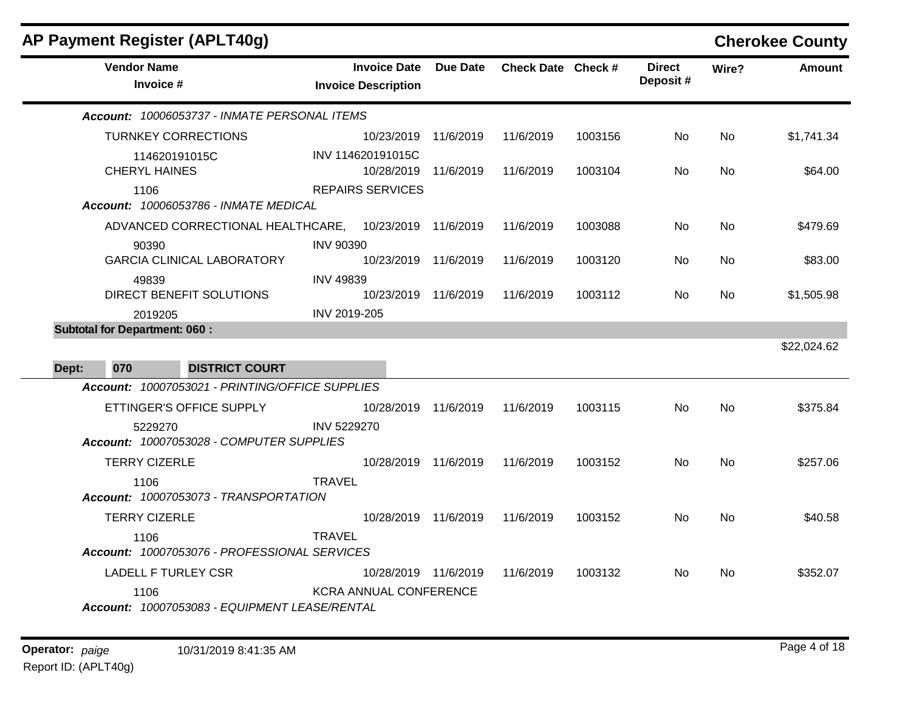| AP Payment Register (APLT40g)                          |                                                   |                 |                    |         |                           |           | <b>Cherokee County</b> |
|--------------------------------------------------------|---------------------------------------------------|-----------------|--------------------|---------|---------------------------|-----------|------------------------|
| <b>Vendor Name</b><br>Invoice #                        | <b>Invoice Date</b><br><b>Invoice Description</b> | <b>Due Date</b> | Check Date Check # |         | <b>Direct</b><br>Deposit# | Wire?     | <b>Amount</b>          |
| Account: 10006053737 - INMATE PERSONAL ITEMS           |                                                   |                 |                    |         |                           |           |                        |
| <b>TURNKEY CORRECTIONS</b>                             | 10/23/2019                                        | 11/6/2019       | 11/6/2019          | 1003156 | No.                       | No.       | \$1,741.34             |
| 114620191015C<br><b>CHERYL HAINES</b>                  | INV 114620191015C<br>10/28/2019 11/6/2019         |                 | 11/6/2019          | 1003104 | No.                       | No.       | \$64.00                |
| 1106<br><b>Account: 10006053786 - INMATE MEDICAL</b>   | <b>REPAIRS SERVICES</b>                           |                 |                    |         |                           |           |                        |
| ADVANCED CORRECTIONAL HEALTHCARE, 10/23/2019 11/6/2019 |                                                   |                 | 11/6/2019          | 1003088 | No.                       | <b>No</b> | \$479.69               |
| 90390                                                  | <b>INV 90390</b>                                  |                 |                    |         |                           |           |                        |
| <b>GARCIA CLINICAL LABORATORY</b>                      | 10/23/2019 11/6/2019                              |                 | 11/6/2019          | 1003120 | No.                       | No.       | \$83.00                |
| 49839<br>DIRECT BENEFIT SOLUTIONS                      | <b>INV 49839</b><br>10/23/2019 11/6/2019          |                 | 11/6/2019          | 1003112 | No.                       | No        | \$1,505.98             |
| 2019205                                                | INV 2019-205                                      |                 |                    |         |                           |           |                        |
| <b>Subtotal for Department: 060:</b>                   |                                                   |                 |                    |         |                           |           |                        |
|                                                        |                                                   |                 |                    |         |                           |           | \$22,024.62            |
| 070<br><b>DISTRICT COURT</b><br>Dept:                  |                                                   |                 |                    |         |                           |           |                        |
| Account: 10007053021 - PRINTING/OFFICE SUPPLIES        |                                                   |                 |                    |         |                           |           |                        |
| ETTINGER'S OFFICE SUPPLY                               | 10/28/2019 11/6/2019                              |                 | 11/6/2019          | 1003115 | No.                       | No.       | \$375.84               |
| 5229270<br>Account: 10007053028 - COMPUTER SUPPLIES    | INV 5229270                                       |                 |                    |         |                           |           |                        |
| <b>TERRY CIZERLE</b>                                   | 10/28/2019 11/6/2019                              |                 | 11/6/2019          | 1003152 | No.                       | <b>No</b> | \$257.06               |
| 1106<br>Account: 10007053073 - TRANSPORTATION          | <b>TRAVEL</b>                                     |                 |                    |         |                           |           |                        |
| <b>TERRY CIZERLE</b>                                   | 10/28/2019 11/6/2019                              |                 | 11/6/2019          | 1003152 | No.                       | No.       | \$40.58                |
| 1106<br>Account: 10007053076 - PROFESSIONAL SERVICES   | <b>TRAVEL</b>                                     |                 |                    |         |                           |           |                        |
| <b>LADELL F TURLEY CSR</b>                             | 10/28/2019 11/6/2019                              |                 | 11/6/2019          | 1003132 | No.                       | No.       | \$352.07               |
| 1106<br>Account: 10007053083 - EQUIPMENT LEASE/RENTAL  | <b>KCRA ANNUAL CONFERENCE</b>                     |                 |                    |         |                           |           |                        |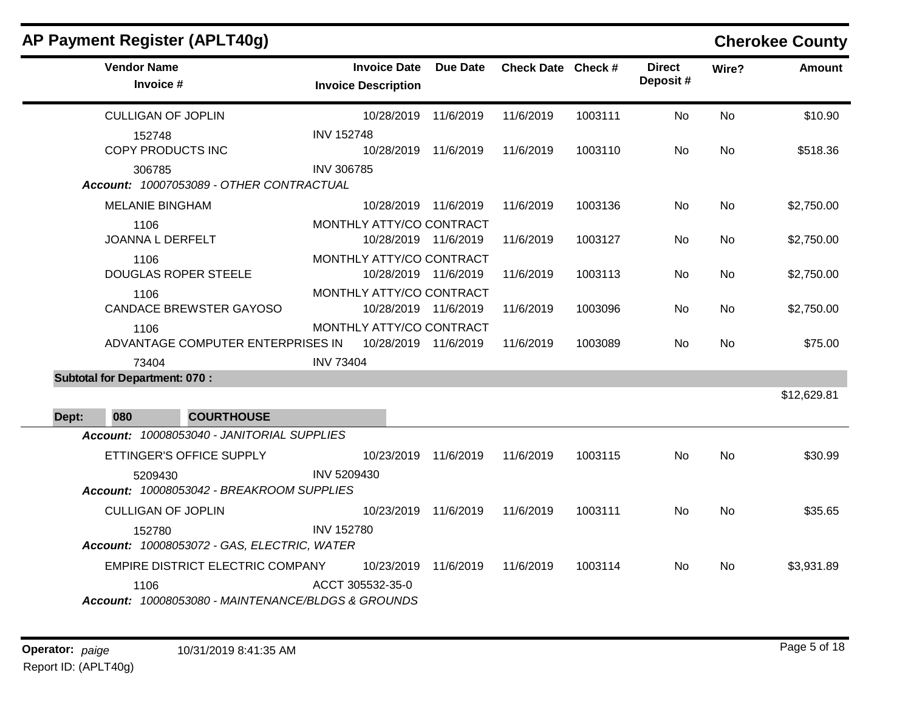|       | <b>AP Payment Register (APLT40g)</b>                                                                                                                                                                                                                                                                                                   |                                                   |                      |                    |         |                           |           | <b>Cherokee County</b> |
|-------|----------------------------------------------------------------------------------------------------------------------------------------------------------------------------------------------------------------------------------------------------------------------------------------------------------------------------------------|---------------------------------------------------|----------------------|--------------------|---------|---------------------------|-----------|------------------------|
|       | <b>Vendor Name</b><br>Invoice #<br><b>CULLIGAN OF JOPLIN</b><br>152748<br>COPY PRODUCTS INC<br>306785<br><b>MELANIE BINGHAM</b><br>1106<br>JOANNA L DERFELT<br>1106<br><b>DOUGLAS ROPER STEELE</b><br>1106<br>1106<br>73404<br><b>Subtotal for Department: 070:</b><br><b>COURTHOUSE</b><br>080<br>ETTINGER'S OFFICE SUPPLY<br>5209430 | <b>Invoice Date</b><br><b>Invoice Description</b> | <b>Due Date</b>      | Check Date Check # |         | <b>Direct</b><br>Deposit# | Wire?     | Amount                 |
|       |                                                                                                                                                                                                                                                                                                                                        |                                                   | 10/28/2019 11/6/2019 | 11/6/2019          | 1003111 | <b>No</b>                 | <b>No</b> | \$10.90                |
|       |                                                                                                                                                                                                                                                                                                                                        | <b>INV 152748</b>                                 | 10/28/2019 11/6/2019 | 11/6/2019          | 1003110 | No.                       | No        | \$518.36               |
|       | Account: 10007053089 - OTHER CONTRACTUAL                                                                                                                                                                                                                                                                                               | <b>INV 306785</b>                                 |                      |                    |         |                           |           |                        |
|       |                                                                                                                                                                                                                                                                                                                                        |                                                   | 10/28/2019 11/6/2019 | 11/6/2019          | 1003136 | No                        | No        | \$2,750.00             |
|       |                                                                                                                                                                                                                                                                                                                                        | MONTHLY ATTY/CO CONTRACT                          | 10/28/2019 11/6/2019 | 11/6/2019          | 1003127 | No                        | No        | \$2,750.00             |
|       |                                                                                                                                                                                                                                                                                                                                        | MONTHLY ATTY/CO CONTRACT                          | 10/28/2019 11/6/2019 | 11/6/2019          | 1003113 | No.                       | No        | \$2,750.00             |
|       | <b>CANDACE BREWSTER GAYOSO</b>                                                                                                                                                                                                                                                                                                         | MONTHLY ATTY/CO CONTRACT                          | 10/28/2019 11/6/2019 | 11/6/2019          | 1003096 | No                        | No        | \$2,750.00             |
|       | ADVANTAGE COMPUTER ENTERPRISES IN                                                                                                                                                                                                                                                                                                      | MONTHLY ATTY/CO CONTRACT<br>10/28/2019 11/6/2019  |                      | 11/6/2019          | 1003089 | No                        | No        | \$75.00                |
|       |                                                                                                                                                                                                                                                                                                                                        | <b>INV 73404</b>                                  |                      |                    |         |                           |           |                        |
| Dept: |                                                                                                                                                                                                                                                                                                                                        |                                                   |                      |                    |         |                           |           | \$12,629.81            |
|       | Account: 10008053040 - JANITORIAL SUPPLIES                                                                                                                                                                                                                                                                                             |                                                   |                      |                    |         |                           |           |                        |
|       |                                                                                                                                                                                                                                                                                                                                        |                                                   | 10/23/2019 11/6/2019 | 11/6/2019          | 1003115 | No.                       | <b>No</b> | \$30.99                |
|       | Account: 10008053042 - BREAKROOM SUPPLIES                                                                                                                                                                                                                                                                                              | INV 5209430                                       |                      |                    |         |                           |           |                        |
|       | <b>CULLIGAN OF JOPLIN</b>                                                                                                                                                                                                                                                                                                              |                                                   | 10/23/2019 11/6/2019 | 11/6/2019          | 1003111 | <b>No</b>                 | No        | \$35.65                |
|       | 152780<br>Account: 10008053072 - GAS, ELECTRIC, WATER                                                                                                                                                                                                                                                                                  | <b>INV 152780</b>                                 |                      |                    |         |                           |           |                        |
|       | EMPIRE DISTRICT ELECTRIC COMPANY                                                                                                                                                                                                                                                                                                       | 10/23/2019                                        | 11/6/2019            | 11/6/2019          | 1003114 | No.                       | No        | \$3,931.89             |
|       | 1106<br>Account: 10008053080 - MAINTENANCE/BLDGS & GROUNDS                                                                                                                                                                                                                                                                             | ACCT 305532-35-0                                  |                      |                    |         |                           |           |                        |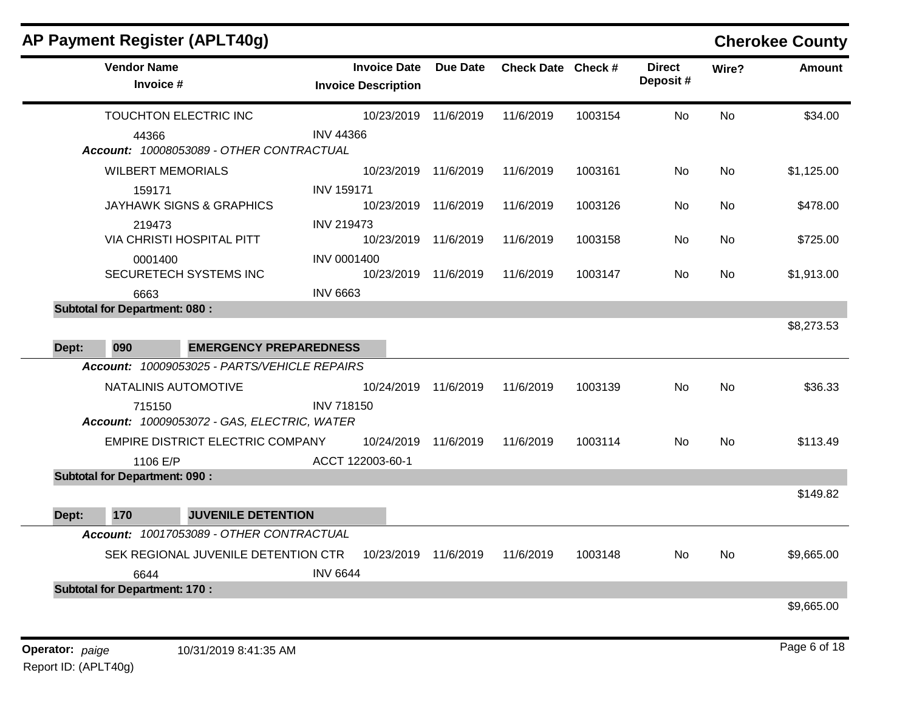|       |                                                                                                                                                                                                                                                                                                                                                                                                                                                                                                                                                                                                                                                                                                  |                                                   |                                           |                    |           |                           |           |               | <b>Cherokee County</b> |
|-------|--------------------------------------------------------------------------------------------------------------------------------------------------------------------------------------------------------------------------------------------------------------------------------------------------------------------------------------------------------------------------------------------------------------------------------------------------------------------------------------------------------------------------------------------------------------------------------------------------------------------------------------------------------------------------------------------------|---------------------------------------------------|-------------------------------------------|--------------------|-----------|---------------------------|-----------|---------------|------------------------|
|       | <b>AP Payment Register (APLT40g)</b><br><b>Vendor Name</b><br>Invoice #<br>TOUCHTON ELECTRIC INC<br>44366<br>Account: 10008053089 - OTHER CONTRACTUAL<br><b>WILBERT MEMORIALS</b><br>159171<br><b>JAYHAWK SIGNS &amp; GRAPHICS</b><br>219473<br>VIA CHRISTI HOSPITAL PITT<br>0001400<br>SECURETECH SYSTEMS INC<br>6663<br><b>Subtotal for Department: 080:</b><br>090<br>Account: 10009053025 - PARTS/VEHICLE REPAIRS<br>NATALINIS AUTOMOTIVE<br>715150<br>Account: 10009053072 - GAS, ELECTRIC, WATER<br>EMPIRE DISTRICT ELECTRIC COMPANY<br>1106 E/P<br><b>Subtotal for Department: 090:</b><br>170<br>Account: 10017053089 - OTHER CONTRACTUAL<br>SEK REGIONAL JUVENILE DETENTION CTR<br>6644 | <b>Invoice Date</b><br><b>Invoice Description</b> | <b>Due Date</b>                           | Check Date Check # |           | <b>Direct</b><br>Deposit# | Wire?     | <b>Amount</b> |                        |
|       |                                                                                                                                                                                                                                                                                                                                                                                                                                                                                                                                                                                                                                                                                                  |                                                   | 10/23/2019                                | 11/6/2019          | 11/6/2019 | 1003154                   | No        | No            | \$34.00                |
|       |                                                                                                                                                                                                                                                                                                                                                                                                                                                                                                                                                                                                                                                                                                  |                                                   | <b>INV 44366</b>                          |                    |           |                           |           |               |                        |
|       |                                                                                                                                                                                                                                                                                                                                                                                                                                                                                                                                                                                                                                                                                                  |                                                   | 10/23/2019                                | 11/6/2019          | 11/6/2019 | 1003161                   | No.       | No.           | \$1,125.00             |
|       |                                                                                                                                                                                                                                                                                                                                                                                                                                                                                                                                                                                                                                                                                                  |                                                   | <b>INV 159171</b>                         |                    |           |                           |           |               |                        |
|       |                                                                                                                                                                                                                                                                                                                                                                                                                                                                                                                                                                                                                                                                                                  |                                                   | 10/23/2019                                | 11/6/2019          | 11/6/2019 | 1003126                   | No.       | No            | \$478.00               |
|       |                                                                                                                                                                                                                                                                                                                                                                                                                                                                                                                                                                                                                                                                                                  |                                                   | <b>INV 219473</b><br>10/23/2019 11/6/2019 |                    | 11/6/2019 | 1003158                   | No        | No            | \$725.00               |
|       |                                                                                                                                                                                                                                                                                                                                                                                                                                                                                                                                                                                                                                                                                                  |                                                   | <b>INV 0001400</b>                        |                    |           |                           |           |               |                        |
|       |                                                                                                                                                                                                                                                                                                                                                                                                                                                                                                                                                                                                                                                                                                  |                                                   | 10/23/2019 11/6/2019                      |                    | 11/6/2019 | 1003147                   | No.       | No            | \$1,913.00             |
|       |                                                                                                                                                                                                                                                                                                                                                                                                                                                                                                                                                                                                                                                                                                  |                                                   | <b>INV 6663</b>                           |                    |           |                           |           |               |                        |
|       |                                                                                                                                                                                                                                                                                                                                                                                                                                                                                                                                                                                                                                                                                                  |                                                   |                                           |                    |           |                           |           |               |                        |
|       |                                                                                                                                                                                                                                                                                                                                                                                                                                                                                                                                                                                                                                                                                                  |                                                   |                                           |                    |           |                           |           |               | \$8,273.53             |
| Dept: |                                                                                                                                                                                                                                                                                                                                                                                                                                                                                                                                                                                                                                                                                                  | <b>EMERGENCY PREPAREDNESS</b>                     |                                           |                    |           |                           |           |               |                        |
|       |                                                                                                                                                                                                                                                                                                                                                                                                                                                                                                                                                                                                                                                                                                  |                                                   |                                           |                    |           |                           |           |               |                        |
|       |                                                                                                                                                                                                                                                                                                                                                                                                                                                                                                                                                                                                                                                                                                  |                                                   | 10/24/2019                                | 11/6/2019          | 11/6/2019 | 1003139                   | No.       | <b>No</b>     | \$36.33                |
|       |                                                                                                                                                                                                                                                                                                                                                                                                                                                                                                                                                                                                                                                                                                  |                                                   | <b>INV 718150</b>                         |                    |           |                           |           |               |                        |
|       |                                                                                                                                                                                                                                                                                                                                                                                                                                                                                                                                                                                                                                                                                                  |                                                   | 10/24/2019                                | 11/6/2019          | 11/6/2019 | 1003114                   | <b>No</b> | No            | \$113.49               |
|       |                                                                                                                                                                                                                                                                                                                                                                                                                                                                                                                                                                                                                                                                                                  |                                                   | ACCT 122003-60-1                          |                    |           |                           |           |               |                        |
|       |                                                                                                                                                                                                                                                                                                                                                                                                                                                                                                                                                                                                                                                                                                  |                                                   |                                           |                    |           |                           |           |               |                        |
|       |                                                                                                                                                                                                                                                                                                                                                                                                                                                                                                                                                                                                                                                                                                  |                                                   |                                           |                    |           |                           |           |               | \$149.82               |
| Dept: |                                                                                                                                                                                                                                                                                                                                                                                                                                                                                                                                                                                                                                                                                                  | <b>JUVENILE DETENTION</b>                         |                                           |                    |           |                           |           |               |                        |
|       |                                                                                                                                                                                                                                                                                                                                                                                                                                                                                                                                                                                                                                                                                                  |                                                   |                                           |                    |           |                           |           |               |                        |
|       |                                                                                                                                                                                                                                                                                                                                                                                                                                                                                                                                                                                                                                                                                                  |                                                   | 10/23/2019                                | 11/6/2019          | 11/6/2019 | 1003148                   | No        | No            | \$9,665.00             |
|       |                                                                                                                                                                                                                                                                                                                                                                                                                                                                                                                                                                                                                                                                                                  |                                                   | <b>INV 6644</b>                           |                    |           |                           |           |               |                        |
|       | <b>Subtotal for Department: 170:</b>                                                                                                                                                                                                                                                                                                                                                                                                                                                                                                                                                                                                                                                             |                                                   |                                           |                    |           |                           |           |               |                        |
|       |                                                                                                                                                                                                                                                                                                                                                                                                                                                                                                                                                                                                                                                                                                  |                                                   |                                           |                    |           |                           |           |               | \$9,665.00             |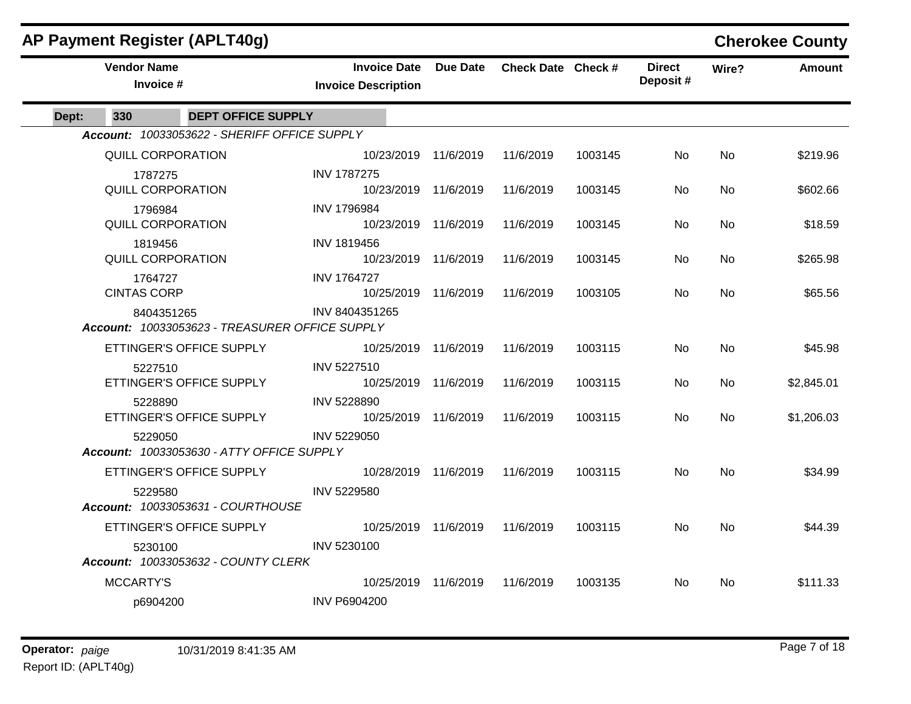| AP Payment Register (APLT40g)   |                                                              |                                                   |                 |                    |         |                           |           | <b>Cherokee County</b> |
|---------------------------------|--------------------------------------------------------------|---------------------------------------------------|-----------------|--------------------|---------|---------------------------|-----------|------------------------|
| <b>Vendor Name</b><br>Invoice # |                                                              | <b>Invoice Date</b><br><b>Invoice Description</b> | <b>Due Date</b> | Check Date Check # |         | <b>Direct</b><br>Deposit# | Wire?     | Amount                 |
| Dept:<br>330                    | <b>DEPT OFFICE SUPPLY</b>                                    |                                                   |                 |                    |         |                           |           |                        |
|                                 | Account: 10033053622 - SHERIFF OFFICE SUPPLY                 |                                                   |                 |                    |         |                           |           |                        |
|                                 | <b>QUILL CORPORATION</b>                                     | 10/23/2019                                        | 11/6/2019       | 11/6/2019          | 1003145 | No.                       | No        | \$219.96               |
| 1787275                         |                                                              | <b>INV 1787275</b>                                |                 |                    |         |                           |           |                        |
|                                 | <b>QUILL CORPORATION</b>                                     | 10/23/2019 11/6/2019                              |                 | 11/6/2019          | 1003145 | No.                       | <b>No</b> | \$602.66               |
| 1796984                         |                                                              | <b>INV 1796984</b>                                |                 |                    |         |                           |           |                        |
|                                 | QUILL CORPORATION                                            | 10/23/2019 11/6/2019                              |                 | 11/6/2019          | 1003145 | No                        | <b>No</b> | \$18.59                |
| 1819456                         |                                                              | <b>INV 1819456</b>                                |                 |                    |         |                           |           |                        |
|                                 | QUILL CORPORATION                                            | 10/23/2019 11/6/2019                              |                 | 11/6/2019          | 1003145 | No.                       | <b>No</b> | \$265.98               |
| 1764727                         |                                                              | <b>INV 1764727</b>                                |                 |                    |         |                           |           |                        |
| <b>CINTAS CORP</b>              |                                                              | 10/25/2019 11/6/2019                              |                 | 11/6/2019          | 1003105 | No.                       | <b>No</b> | \$65.56                |
|                                 | 8404351265<br>Account: 10033053623 - TREASURER OFFICE SUPPLY | INV 8404351265                                    |                 |                    |         |                           |           |                        |
|                                 | ETTINGER'S OFFICE SUPPLY                                     | 10/25/2019 11/6/2019                              |                 | 11/6/2019          | 1003115 | <b>No</b>                 | <b>No</b> | \$45.98                |
| 5227510                         |                                                              | INV 5227510                                       |                 |                    |         |                           |           |                        |
|                                 | ETTINGER'S OFFICE SUPPLY                                     | 10/25/2019 11/6/2019                              |                 | 11/6/2019          | 1003115 | No.                       | <b>No</b> | \$2,845.01             |
| 5228890                         |                                                              | INV 5228890                                       |                 |                    |         |                           |           |                        |
|                                 | ETTINGER'S OFFICE SUPPLY                                     | 10/25/2019 11/6/2019                              |                 | 11/6/2019          | 1003115 | No.                       | No.       | \$1,206.03             |
| 5229050                         | Account: 10033053630 - ATTY OFFICE SUPPLY                    | INV 5229050                                       |                 |                    |         |                           |           |                        |
|                                 | ETTINGER'S OFFICE SUPPLY                                     | 10/28/2019 11/6/2019                              |                 | 11/6/2019          | 1003115 | No                        | <b>No</b> | \$34.99                |
| 5229580                         |                                                              | INV 5229580                                       |                 |                    |         |                           |           |                        |
|                                 | Account: 10033053631 - COURTHOUSE                            |                                                   |                 |                    |         |                           |           |                        |
|                                 | ETTINGER'S OFFICE SUPPLY                                     | 10/25/2019 11/6/2019                              |                 | 11/6/2019          | 1003115 | <b>No</b>                 | <b>No</b> | \$44.39                |
| 5230100                         |                                                              | INV 5230100                                       |                 |                    |         |                           |           |                        |
|                                 | Account: 10033053632 - COUNTY CLERK                          |                                                   |                 |                    |         |                           |           |                        |
| <b>MCCARTY'S</b>                |                                                              | 10/25/2019                                        | 11/6/2019       | 11/6/2019          | 1003135 | No.                       | <b>No</b> | \$111.33               |
| p6904200                        |                                                              | <b>INV P6904200</b>                               |                 |                    |         |                           |           |                        |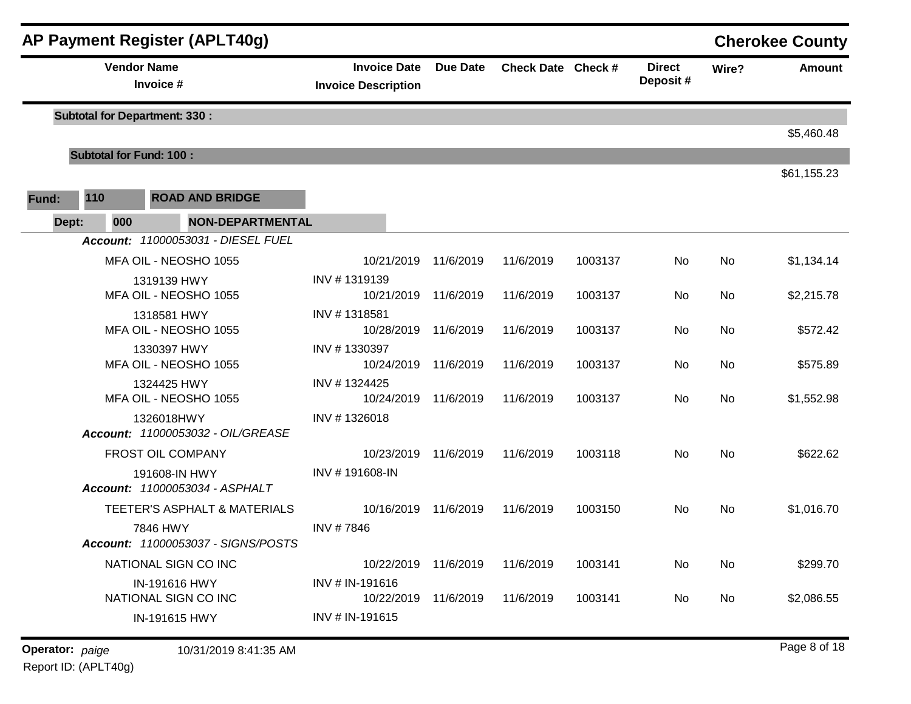|       |                                                | <b>AP Payment Register (APLT40g)</b>            |                                                   |           |                    |         |                           |       | <b>Cherokee County</b> |
|-------|------------------------------------------------|-------------------------------------------------|---------------------------------------------------|-----------|--------------------|---------|---------------------------|-------|------------------------|
|       | <b>Vendor Name</b>                             | Invoice #                                       | <b>Invoice Date</b><br><b>Invoice Description</b> | Due Date  | Check Date Check # |         | <b>Direct</b><br>Deposit# | Wire? | <b>Amount</b>          |
|       |                                                | <b>Subtotal for Department: 330:</b>            |                                                   |           |                    |         |                           |       | \$5,460.48             |
|       | <b>Subtotal for Fund: 100:</b>                 |                                                 |                                                   |           |                    |         |                           |       |                        |
|       |                                                |                                                 |                                                   |           |                    |         |                           |       | \$61,155.23            |
| Fund: | 110                                            | <b>ROAD AND BRIDGE</b>                          |                                                   |           |                    |         |                           |       |                        |
| Dept: | 000                                            | <b>NON-DEPARTMENTAL</b>                         |                                                   |           |                    |         |                           |       |                        |
|       |                                                | Account: 11000053031 - DIESEL FUEL              |                                                   |           |                    |         |                           |       |                        |
|       | MFA OIL - NEOSHO 1055                          |                                                 | 10/21/2019 11/6/2019                              |           | 11/6/2019          | 1003137 | No                        | No    | \$1,134.14             |
|       | 1319139 HWY<br>MFA OIL - NEOSHO 1055           |                                                 | INV #1319139<br>10/21/2019 11/6/2019              |           | 11/6/2019          | 1003137 | No                        | No    | \$2,215.78             |
|       | 1318581 HWY<br>MFA OIL - NEOSHO 1055           |                                                 | INV #1318581<br>10/28/2019 11/6/2019              |           | 11/6/2019          | 1003137 | No                        | No    | \$572.42               |
|       |                                                | 1330397 HWY<br>MFA OIL - NEOSHO 1055            | INV #1330397<br>10/24/2019                        | 11/6/2019 | 11/6/2019          | 1003137 | No                        | No    | \$575.89               |
|       |                                                | 1324425 HWY<br>MFA OIL - NEOSHO 1055            | INV #1324425<br>10/24/2019                        | 11/6/2019 | 11/6/2019          | 1003137 | No                        | No    | \$1,552.98             |
|       |                                                | 1326018HWY<br>Account: 11000053032 - OIL/GREASE | INV #1326018                                      |           |                    |         |                           |       |                        |
|       |                                                | FROST OIL COMPANY                               | 10/23/2019                                        | 11/6/2019 | 11/6/2019          | 1003118 | No                        | No    | \$622.62               |
|       |                                                | 191608-IN HWY<br>Account: 11000053034 - ASPHALT | INV #191608-IN                                    |           |                    |         |                           |       |                        |
|       |                                                | TEETER'S ASPHALT & MATERIALS                    | 10/16/2019 11/6/2019                              |           | 11/6/2019          | 1003150 | No                        | No    | \$1,016.70             |
|       | 7846 HWY<br>Account: 11000053037 - SIGNS/POSTS |                                                 | INV #7846                                         |           |                    |         |                           |       |                        |
|       |                                                | NATIONAL SIGN CO INC                            | 10/22/2019                                        | 11/6/2019 | 11/6/2019          | 1003141 | No                        | No    | \$299.70               |
|       | IN-191616 HWY<br>NATIONAL SIGN CO INC          |                                                 | INV # IN-191616<br>10/22/2019                     | 11/6/2019 | 11/6/2019          | 1003141 | No                        | No    | \$2,086.55             |
|       |                                                | IN-191615 HWY                                   | INV # IN-191615                                   |           |                    |         |                           |       |                        |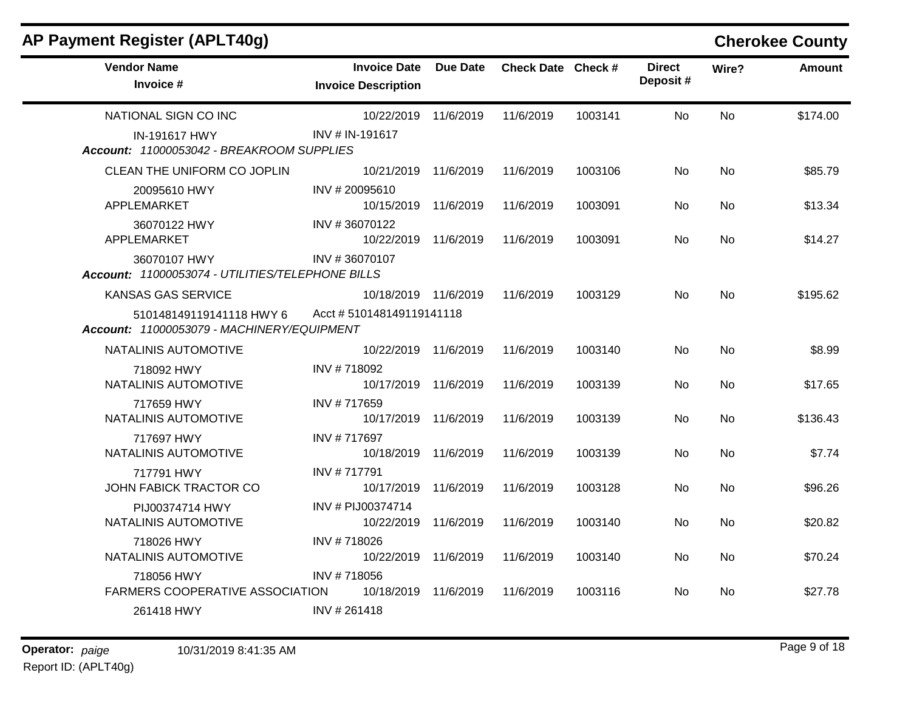| AP Payment Register (APLT40g)                                          |                                                   |                 |                    |         |                           |           | <b>Cherokee County</b> |
|------------------------------------------------------------------------|---------------------------------------------------|-----------------|--------------------|---------|---------------------------|-----------|------------------------|
| <b>Vendor Name</b><br>Invoice #                                        | <b>Invoice Date</b><br><b>Invoice Description</b> | <b>Due Date</b> | Check Date Check # |         | <b>Direct</b><br>Deposit# | Wire?     | <b>Amount</b>          |
| NATIONAL SIGN CO INC                                                   | 10/22/2019                                        | 11/6/2019       | 11/6/2019          | 1003141 | No                        | <b>No</b> | \$174.00               |
| <b>IN-191617 HWY</b><br>Account: 11000053042 - BREAKROOM SUPPLIES      | INV # IN-191617                                   |                 |                    |         |                           |           |                        |
| CLEAN THE UNIFORM CO JOPLIN                                            | 10/21/2019 11/6/2019                              |                 | 11/6/2019          | 1003106 | No.                       | No.       | \$85.79                |
| 20095610 HWY<br>APPLEMARKET                                            | INV # 20095610<br>10/15/2019                      | 11/6/2019       | 11/6/2019          | 1003091 | No.                       | <b>No</b> | \$13.34                |
| 36070122 HWY<br>APPLEMARKET                                            | INV #36070122<br>10/22/2019                       | 11/6/2019       | 11/6/2019          | 1003091 | No                        | No.       | \$14.27                |
| 36070107 HWY<br>Account: 11000053074 - UTILITIES/TELEPHONE BILLS       | INV #36070107                                     |                 |                    |         |                           |           |                        |
| <b>KANSAS GAS SERVICE</b>                                              | 10/18/2019 11/6/2019                              |                 | 11/6/2019          | 1003129 | No.                       | No.       | \$195.62               |
| 510148149119141118 HWY 6<br>Account: 11000053079 - MACHINERY/EQUIPMENT | Acct #510148149119141118                          |                 |                    |         |                           |           |                        |
| NATALINIS AUTOMOTIVE                                                   | 10/22/2019                                        | 11/6/2019       | 11/6/2019          | 1003140 | No                        | <b>No</b> | \$8.99                 |
| 718092 HWY<br>NATALINIS AUTOMOTIVE                                     | INV #718092<br>10/17/2019                         | 11/6/2019       | 11/6/2019          | 1003139 | No.                       | <b>No</b> | \$17.65                |
| 717659 HWY<br>NATALINIS AUTOMOTIVE                                     | INV #717659<br>10/17/2019 11/6/2019               |                 | 11/6/2019          | 1003139 | No                        | No        | \$136.43               |
| 717697 HWY<br>NATALINIS AUTOMOTIVE                                     | INV #717697<br>10/18/2019 11/6/2019               |                 | 11/6/2019          | 1003139 | No.                       | No.       | \$7.74                 |
| 717791 HWY<br>JOHN FABICK TRACTOR CO                                   | INV #717791<br>10/17/2019                         | 11/6/2019       | 11/6/2019          | 1003128 | No                        | No        | \$96.26                |
| PIJ00374714 HWY<br>NATALINIS AUTOMOTIVE                                | INV # PIJ00374714<br>10/22/2019                   | 11/6/2019       | 11/6/2019          | 1003140 | No.                       | No.       | \$20.82                |
| 718026 HWY<br>NATALINIS AUTOMOTIVE                                     | INV #718026<br>10/22/2019                         | 11/6/2019       | 11/6/2019          | 1003140 | No.                       | No.       | \$70.24                |
| 718056 HWY<br>FARMERS COOPERATIVE ASSOCIATION                          | INV #718056<br>10/18/2019 11/6/2019               |                 | 11/6/2019          | 1003116 | No                        | No        | \$27.78                |
| 261418 HWY                                                             | INV # 261418                                      |                 |                    |         |                           |           |                        |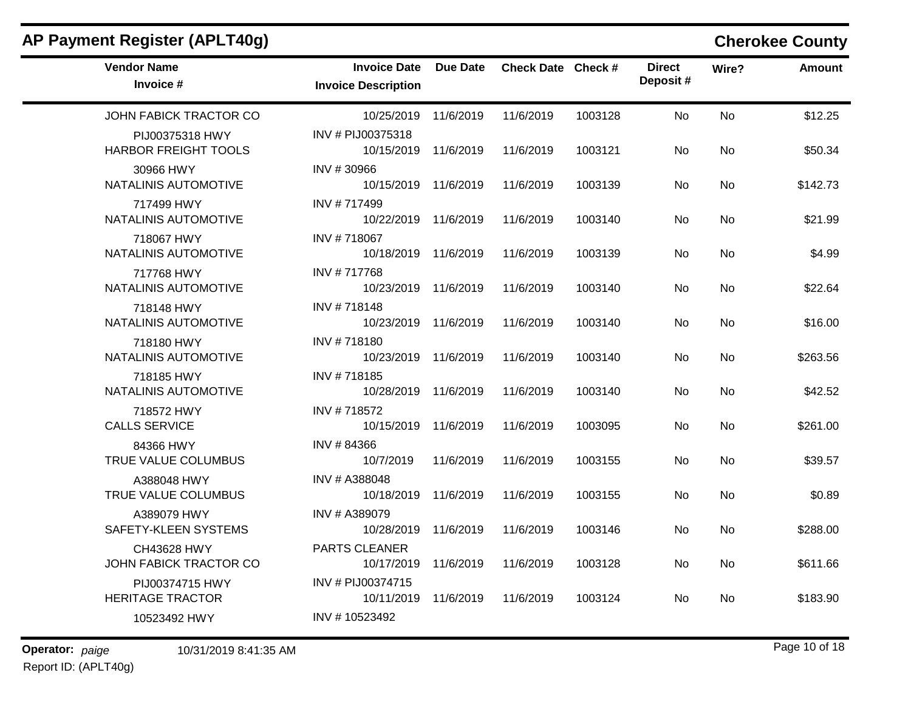## **AP Payment Register (APLT40g) Cherokee County**

 $\overline{\phantom{a}}$ 

| <b>Vendor Name</b><br>Invoice #                | <b>Invoice Date</b><br><b>Invoice Description</b> | Due Date  | Check Date Check # |         | <b>Direct</b><br>Deposit# | Wire?     | <b>Amount</b> |
|------------------------------------------------|---------------------------------------------------|-----------|--------------------|---------|---------------------------|-----------|---------------|
| JOHN FABICK TRACTOR CO                         | 10/25/2019 11/6/2019                              |           | 11/6/2019          | 1003128 | <b>No</b>                 | <b>No</b> | \$12.25       |
| PIJ00375318 HWY<br><b>HARBOR FREIGHT TOOLS</b> | INV # PIJ00375318<br>10/15/2019 11/6/2019         |           | 11/6/2019          | 1003121 | No.                       | No        | \$50.34       |
| 30966 HWY<br>NATALINIS AUTOMOTIVE              | INV #30966<br>10/15/2019 11/6/2019                |           | 11/6/2019          | 1003139 | No.                       | No        | \$142.73      |
| 717499 HWY<br>NATALINIS AUTOMOTIVE             | INV #717499<br>10/22/2019 11/6/2019               |           | 11/6/2019          | 1003140 | No                        | No        | \$21.99       |
| 718067 HWY<br>NATALINIS AUTOMOTIVE             | INV #718067<br>10/18/2019 11/6/2019               |           | 11/6/2019          | 1003139 | No.                       | <b>No</b> | \$4.99        |
| 717768 HWY<br>NATALINIS AUTOMOTIVE             | INV #717768<br>10/23/2019 11/6/2019               |           | 11/6/2019          | 1003140 | No                        | No        | \$22.64       |
| 718148 HWY<br>NATALINIS AUTOMOTIVE             | INV #718148<br>10/23/2019 11/6/2019               |           | 11/6/2019          | 1003140 | No                        | No        | \$16.00       |
| 718180 HWY<br>NATALINIS AUTOMOTIVE             | INV #718180<br>10/23/2019 11/6/2019               |           | 11/6/2019          | 1003140 | No.                       | <b>No</b> | \$263.56      |
| 718185 HWY<br>NATALINIS AUTOMOTIVE             | INV #718185<br>10/28/2019 11/6/2019               |           | 11/6/2019          | 1003140 | No.                       | No        | \$42.52       |
| 718572 HWY<br><b>CALLS SERVICE</b>             | INV #718572<br>10/15/2019 11/6/2019               |           | 11/6/2019          | 1003095 | <b>No</b>                 | <b>No</b> | \$261.00      |
| 84366 HWY<br>TRUE VALUE COLUMBUS               | INV #84366<br>10/7/2019                           | 11/6/2019 | 11/6/2019          | 1003155 | No                        | <b>No</b> | \$39.57       |
| A388048 HWY<br>TRUE VALUE COLUMBUS             | INV # A388048<br>10/18/2019 11/6/2019             |           | 11/6/2019          | 1003155 | No.                       | <b>No</b> | \$0.89        |
| A389079 HWY<br>SAFETY-KLEEN SYSTEMS            | INV # A389079<br>10/28/2019                       | 11/6/2019 | 11/6/2019          | 1003146 | No                        | No        | \$288.00      |
| CH43628 HWY<br>JOHN FABICK TRACTOR CO          | PARTS CLEANER<br>10/17/2019 11/6/2019             |           | 11/6/2019          | 1003128 | No                        | No        | \$611.66      |
| PIJ00374715 HWY<br><b>HERITAGE TRACTOR</b>     | INV # PIJ00374715<br>10/11/2019                   | 11/6/2019 | 11/6/2019          | 1003124 | No.                       | No        | \$183.90      |
| 10523492 HWY                                   | INV #10523492                                     |           |                    |         |                           |           |               |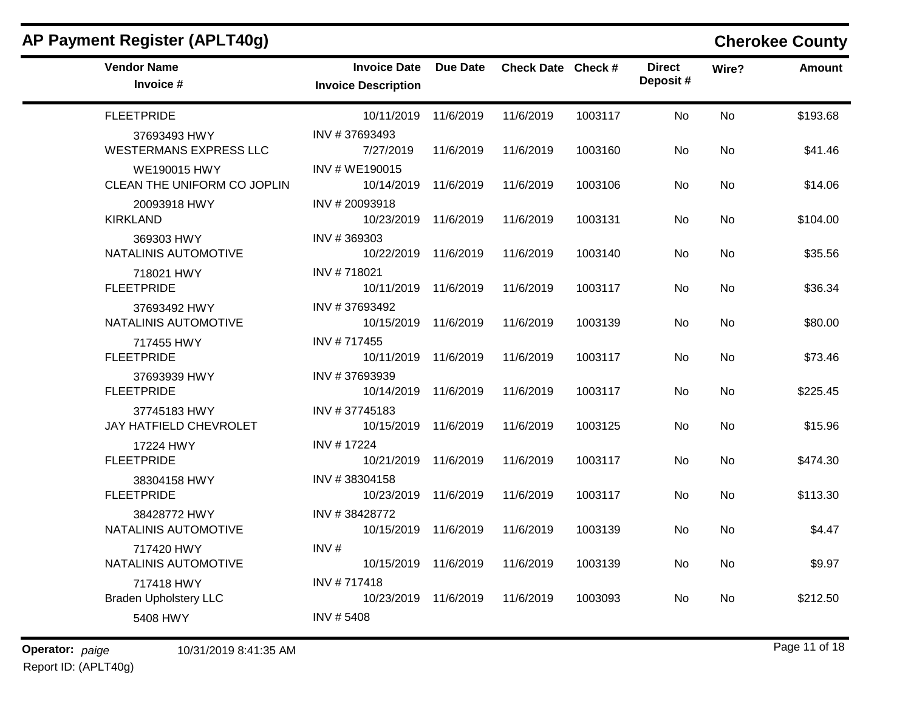| AP Payment Register (APLT40g)                      |                                                   |           |                    |         |                           |           | <b>Cherokee County</b> |
|----------------------------------------------------|---------------------------------------------------|-----------|--------------------|---------|---------------------------|-----------|------------------------|
| <b>Vendor Name</b><br>Invoice #                    | <b>Invoice Date</b><br><b>Invoice Description</b> | Due Date  | Check Date Check # |         | <b>Direct</b><br>Deposit# | Wire?     | <b>Amount</b>          |
| <b>FLEETPRIDE</b>                                  | 10/11/2019                                        | 11/6/2019 | 11/6/2019          | 1003117 | <b>No</b>                 | <b>No</b> | \$193.68               |
| 37693493 HWY<br><b>WESTERMANS EXPRESS LLC</b>      | INV #37693493<br>7/27/2019                        | 11/6/2019 | 11/6/2019          | 1003160 | <b>No</b>                 | No        | \$41.46                |
| <b>WE190015 HWY</b><br>CLEAN THE UNIFORM CO JOPLIN | INV#WE190015<br>10/14/2019                        | 11/6/2019 | 11/6/2019          | 1003106 | No                        | No        | \$14.06                |
| 20093918 HWY<br><b>KIRKLAND</b>                    | INV #20093918<br>10/23/2019 11/6/2019             |           | 11/6/2019          | 1003131 | No                        | No        | \$104.00               |
| 369303 HWY<br>NATALINIS AUTOMOTIVE                 | INV #369303<br>10/22/2019 11/6/2019               |           | 11/6/2019          | 1003140 | <b>No</b>                 | No        | \$35.56                |
| 718021 HWY<br><b>FLEETPRIDE</b>                    | INV #718021<br>10/11/2019                         | 11/6/2019 | 11/6/2019          | 1003117 | <b>No</b>                 | <b>No</b> | \$36.34                |
| 37693492 HWY<br>NATALINIS AUTOMOTIVE               | INV #37693492<br>10/15/2019 11/6/2019             |           | 11/6/2019          | 1003139 | No                        | No        | \$80.00                |
| 717455 HWY<br><b>FLEETPRIDE</b>                    | INV #717455<br>10/11/2019 11/6/2019               |           | 11/6/2019          | 1003117 | No                        | No        | \$73.46                |
| 37693939 HWY<br><b>FLEETPRIDE</b>                  | INV #37693939<br>10/14/2019                       | 11/6/2019 | 11/6/2019          | 1003117 | <b>No</b>                 | No        | \$225.45               |
| 37745183 HWY<br>JAY HATFIELD CHEVROLET             | INV #37745183<br>10/15/2019 11/6/2019             |           | 11/6/2019          | 1003125 | No                        | No        | \$15.96                |
| 17224 HWY<br><b>FLEETPRIDE</b>                     | INV #17224<br>10/21/2019                          | 11/6/2019 | 11/6/2019          | 1003117 | No                        | No        | \$474.30               |
| 38304158 HWY<br><b>FLEETPRIDE</b>                  | INV #38304158<br>10/23/2019 11/6/2019             |           | 11/6/2019          | 1003117 | No                        | No        | \$113.30               |
| 38428772 HWY<br>NATALINIS AUTOMOTIVE               | INV #38428772<br>10/15/2019 11/6/2019             |           | 11/6/2019          | 1003139 | <b>No</b>                 | No        | \$4.47                 |
| 717420 HWY<br>NATALINIS AUTOMOTIVE                 | INV#<br>10/15/2019                                | 11/6/2019 | 11/6/2019          | 1003139 | <b>No</b>                 | No        | \$9.97                 |
| 717418 HWY<br><b>Braden Upholstery LLC</b>         | INV #717418<br>10/23/2019 11/6/2019               |           | 11/6/2019          | 1003093 | <b>No</b>                 | No        | \$212.50               |
| 5408 HWY                                           | INV # 5408                                        |           |                    |         |                           |           |                        |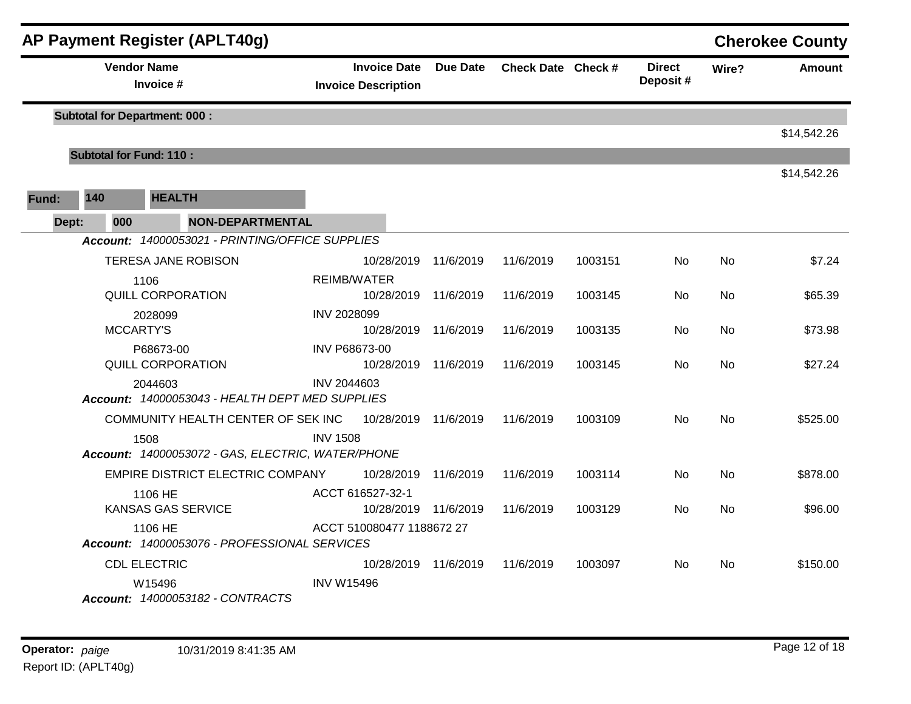|       |                                                         |     |                                      | AP Payment Register (APLT40g)                                                              |                    |                                              |           |           |                           |           |               | <b>Cherokee County</b> |
|-------|---------------------------------------------------------|-----|--------------------------------------|--------------------------------------------------------------------------------------------|--------------------|----------------------------------------------|-----------|-----------|---------------------------|-----------|---------------|------------------------|
|       | <b>Vendor Name</b><br>Invoice #                         |     |                                      | <b>Invoice Date</b><br><b>Due Date</b><br>Check Date Check #<br><b>Invoice Description</b> |                    |                                              |           |           | <b>Direct</b><br>Deposit# | Wire?     | <b>Amount</b> |                        |
|       |                                                         |     | <b>Subtotal for Department: 000:</b> |                                                                                            |                    |                                              |           |           |                           |           |               |                        |
|       |                                                         |     |                                      |                                                                                            |                    |                                              |           |           |                           |           |               | \$14,542.26            |
|       |                                                         |     | <b>Subtotal for Fund: 110:</b>       |                                                                                            |                    |                                              |           |           |                           |           |               |                        |
|       |                                                         |     |                                      |                                                                                            |                    |                                              |           |           |                           |           | \$14,542.26   |                        |
| Fund: | 140                                                     |     | <b>HEALTH</b>                        |                                                                                            |                    |                                              |           |           |                           |           |               |                        |
|       | Dept:                                                   | 000 |                                      | <b>NON-DEPARTMENTAL</b>                                                                    |                    |                                              |           |           |                           |           |               |                        |
|       |                                                         |     |                                      | Account: 14000053021 - PRINTING/OFFICE SUPPLIES                                            |                    |                                              |           |           |                           |           |               |                        |
|       |                                                         |     |                                      | TERESA JANE ROBISON                                                                        |                    | 10/28/2019                                   | 11/6/2019 | 11/6/2019 | 1003151                   | No        | No            | \$7.24                 |
|       | 1106                                                    |     |                                      |                                                                                            | <b>REIMB/WATER</b> |                                              |           |           |                           |           |               |                        |
|       | QUILL CORPORATION                                       |     |                                      | 10/28/2019 11/6/2019                                                                       |                    | 11/6/2019                                    | 1003145   | No        | No                        | \$65.39   |               |                        |
|       | 2028099<br><b>MCCARTY'S</b>                             |     | <b>INV 2028099</b>                   |                                                                                            |                    |                                              |           |           |                           |           |               |                        |
|       |                                                         |     |                                      |                                                                                            |                    | 10/28/2019                                   | 11/6/2019 | 11/6/2019 | 1003135                   | No.       | No            | \$73.98                |
|       |                                                         |     | P68673-00<br>QUILL CORPORATION       |                                                                                            |                    | <b>INV P68673-00</b><br>10/28/2019 11/6/2019 |           | 11/6/2019 | 1003145                   | No.       | No            | \$27.24                |
|       |                                                         |     | 2044603                              |                                                                                            | INV 2044603        |                                              |           |           |                           |           |               |                        |
|       |                                                         |     |                                      | Account: 14000053043 - HEALTH DEPT MED SUPPLIES                                            |                    |                                              |           |           |                           |           |               |                        |
|       |                                                         |     |                                      | COMMUNITY HEALTH CENTER OF SEK INC                                                         |                    | 10/28/2019                                   | 11/6/2019 | 11/6/2019 | 1003109                   | No        | No            | \$525.00               |
|       |                                                         |     | 1508                                 |                                                                                            | <b>INV 1508</b>    |                                              |           |           |                           |           |               |                        |
|       |                                                         |     |                                      | Account: 14000053072 - GAS, ELECTRIC, WATER/PHONE                                          |                    |                                              |           |           |                           |           |               |                        |
|       |                                                         |     |                                      | EMPIRE DISTRICT ELECTRIC COMPANY                                                           |                    | 10/28/2019                                   | 11/6/2019 | 11/6/2019 | 1003114                   | <b>No</b> | <b>No</b>     | \$878.00               |
|       |                                                         |     | 1106 HE                              |                                                                                            |                    | ACCT 616527-32-1                             |           |           |                           |           |               |                        |
|       |                                                         |     |                                      | <b>KANSAS GAS SERVICE</b>                                                                  |                    | 10/28/2019 11/6/2019                         |           | 11/6/2019 | 1003129                   | <b>No</b> | No            | \$96.00                |
|       | 1106 HE<br>Account: 14000053076 - PROFESSIONAL SERVICES |     |                                      | ACCT 510080477 1188672 27                                                                  |                    |                                              |           |           |                           |           |               |                        |
|       |                                                         |     | <b>CDL ELECTRIC</b>                  |                                                                                            |                    | 10/28/2019 11/6/2019                         |           | 11/6/2019 | 1003097                   | No.       | No.           | \$150.00               |
|       |                                                         |     | W15496                               | Account: 14000053182 - CONTRACTS                                                           | <b>INV W15496</b>  |                                              |           |           |                           |           |               |                        |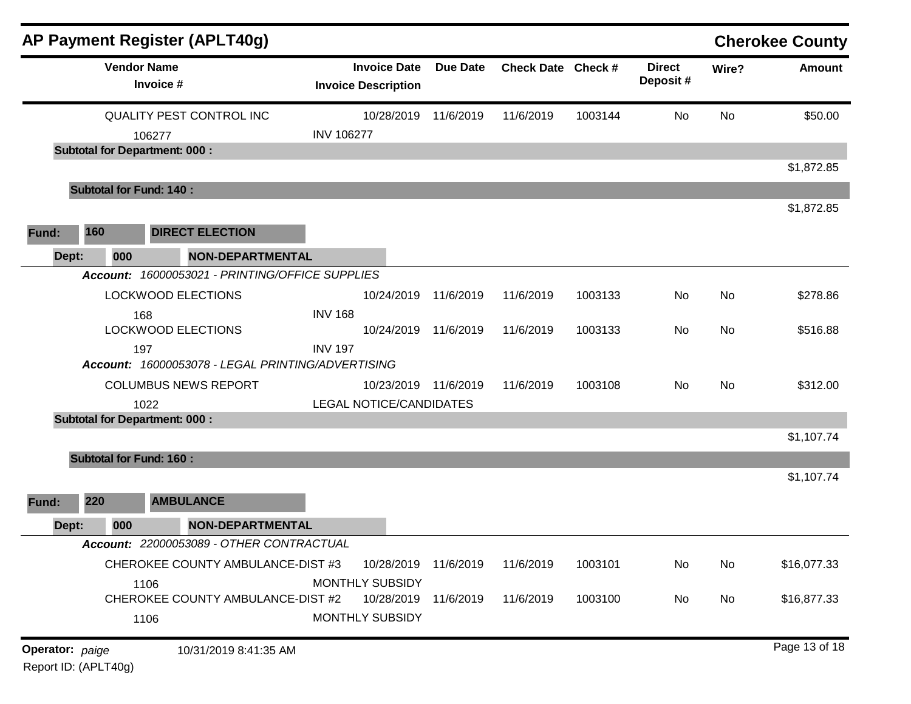|                 |     |                    | AP Payment Register (APLT40g)                     |                                                   |                 |                    |         |                           |           | <b>Cherokee County</b> |
|-----------------|-----|--------------------|---------------------------------------------------|---------------------------------------------------|-----------------|--------------------|---------|---------------------------|-----------|------------------------|
|                 |     | <b>Vendor Name</b> | Invoice #                                         | <b>Invoice Date</b><br><b>Invoice Description</b> | <b>Due Date</b> | Check Date Check # |         | <b>Direct</b><br>Deposit# | Wire?     | <b>Amount</b>          |
|                 |     |                    | QUALITY PEST CONTROL INC                          | 10/28/2019                                        | 11/6/2019       | 11/6/2019          | 1003144 | No                        | <b>No</b> | \$50.00                |
|                 |     |                    | 106277                                            | <b>INV 106277</b>                                 |                 |                    |         |                           |           |                        |
|                 |     |                    | <b>Subtotal for Department: 000:</b>              |                                                   |                 |                    |         |                           |           |                        |
|                 |     |                    | <b>Subtotal for Fund: 140:</b>                    |                                                   |                 |                    |         |                           |           | \$1,872.85             |
|                 |     |                    |                                                   |                                                   |                 |                    |         |                           |           | \$1,872.85             |
| Fund:           | 160 |                    | <b>DIRECT ELECTION</b>                            |                                                   |                 |                    |         |                           |           |                        |
| Dept:           |     | 000                | <b>NON-DEPARTMENTAL</b>                           |                                                   |                 |                    |         |                           |           |                        |
|                 |     |                    | Account: 16000053021 - PRINTING/OFFICE SUPPLIES   |                                                   |                 |                    |         |                           |           |                        |
|                 |     |                    | LOCKWOOD ELECTIONS                                | 10/24/2019 11/6/2019                              |                 | 11/6/2019          | 1003133 | No                        | <b>No</b> | \$278.86               |
|                 |     | 168                |                                                   | <b>INV 168</b>                                    |                 |                    |         |                           |           |                        |
|                 |     |                    | <b>LOCKWOOD ELECTIONS</b>                         | 10/24/2019 11/6/2019                              |                 | 11/6/2019          | 1003133 | No.                       | No        | \$516.88               |
|                 |     | 197                | Account: 16000053078 - LEGAL PRINTING/ADVERTISING | <b>INV 197</b>                                    |                 |                    |         |                           |           |                        |
|                 |     |                    | <b>COLUMBUS NEWS REPORT</b>                       | 10/23/2019 11/6/2019                              |                 | 11/6/2019          | 1003108 | No.                       | No        | \$312.00               |
|                 |     |                    | 1022                                              | <b>LEGAL NOTICE/CANDIDATES</b>                    |                 |                    |         |                           |           |                        |
|                 |     |                    | <b>Subtotal for Department: 000:</b>              |                                                   |                 |                    |         |                           |           |                        |
|                 |     |                    |                                                   |                                                   |                 |                    |         |                           |           | \$1,107.74             |
|                 |     |                    | <b>Subtotal for Fund: 160:</b>                    |                                                   |                 |                    |         |                           |           |                        |
|                 |     |                    |                                                   |                                                   |                 |                    |         |                           |           | \$1,107.74             |
| Fund:           | 220 |                    | <b>AMBULANCE</b>                                  |                                                   |                 |                    |         |                           |           |                        |
| Dept:           |     | 000                | <b>NON-DEPARTMENTAL</b>                           |                                                   |                 |                    |         |                           |           |                        |
|                 |     |                    | Account: 22000053089 - OTHER CONTRACTUAL          |                                                   |                 |                    |         |                           |           |                        |
|                 |     |                    | CHEROKEE COUNTY AMBULANCE-DIST #3                 | 10/28/2019 11/6/2019                              |                 | 11/6/2019          | 1003101 | No                        | No        | \$16,077.33            |
|                 |     |                    | 1106                                              | MONTHLY SUBSIDY                                   |                 |                    |         |                           |           |                        |
|                 |     |                    | CHEROKEE COUNTY AMBULANCE-DIST #2                 | 10/28/2019 11/6/2019                              |                 | 11/6/2019          | 1003100 | No                        | No        | \$16,877.33            |
|                 |     |                    | 1106                                              | MONTHLY SUBSIDY                                   |                 |                    |         |                           |           |                        |
| Operator: paige |     |                    | 10/31/2019 8:41:35 AM                             |                                                   |                 |                    |         |                           |           | Page 13 of 18          |

Report ID: (APLT40g)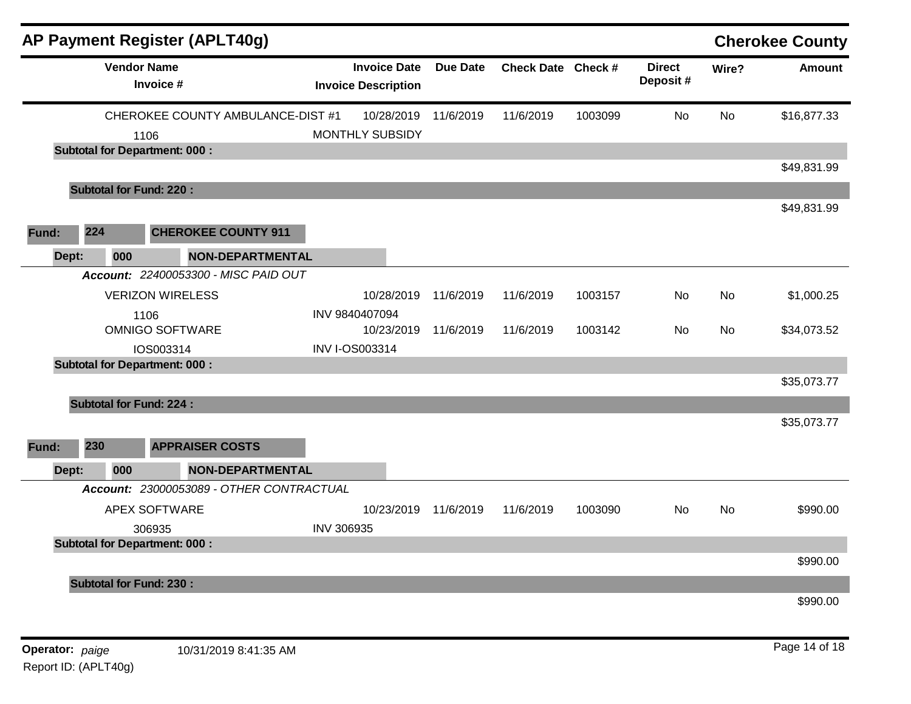|       |     |                                                | AP Payment Register (APLT40g)            |                   |                                                   |                 |                    |         |                           |           | <b>Cherokee County</b> |
|-------|-----|------------------------------------------------|------------------------------------------|-------------------|---------------------------------------------------|-----------------|--------------------|---------|---------------------------|-----------|------------------------|
|       |     | <b>Vendor Name</b><br>Invoice #                |                                          |                   | <b>Invoice Date</b><br><b>Invoice Description</b> | <b>Due Date</b> | Check Date Check # |         | <b>Direct</b><br>Deposit# | Wire?     | <b>Amount</b>          |
|       |     |                                                | CHEROKEE COUNTY AMBULANCE-DIST #1        |                   | 10/28/2019                                        | 11/6/2019       | 11/6/2019          | 1003099 | <b>No</b>                 | <b>No</b> | \$16,877.33            |
|       |     | 1106                                           |                                          |                   | <b>MONTHLY SUBSIDY</b>                            |                 |                    |         |                           |           |                        |
|       |     | <b>Subtotal for Department: 000:</b>           |                                          |                   |                                                   |                 |                    |         |                           |           |                        |
|       |     |                                                |                                          |                   |                                                   |                 |                    |         |                           |           | \$49,831.99            |
|       |     | <b>Subtotal for Fund: 220:</b>                 |                                          |                   |                                                   |                 |                    |         |                           |           |                        |
|       |     |                                                |                                          |                   |                                                   |                 |                    |         |                           |           | \$49,831.99            |
| Fund: | 224 |                                                | <b>CHEROKEE COUNTY 911</b>               |                   |                                                   |                 |                    |         |                           |           |                        |
| Dept: |     | 000                                            | NON-DEPARTMENTAL                         |                   |                                                   |                 |                    |         |                           |           |                        |
|       |     |                                                | Account: 22400053300 - MISC PAID OUT     |                   |                                                   |                 |                    |         |                           |           |                        |
|       |     | <b>VERIZON WIRELESS</b>                        |                                          |                   | 10/28/2019                                        | 11/6/2019       | 11/6/2019          | 1003157 | No                        | No        | \$1,000.25             |
|       |     | 1106                                           |                                          |                   | INV 9840407094                                    |                 |                    |         |                           |           |                        |
|       |     | <b>OMNIGO SOFTWARE</b>                         |                                          |                   | 10/23/2019                                        | 11/6/2019       | 11/6/2019          | 1003142 | No                        | No        | \$34,073.52            |
|       |     | IOS003314                                      |                                          |                   | <b>INV I-OS003314</b>                             |                 |                    |         |                           |           |                        |
|       |     | <b>Subtotal for Department: 000:</b>           |                                          |                   |                                                   |                 |                    |         |                           |           |                        |
|       |     |                                                |                                          |                   |                                                   |                 |                    |         |                           |           | \$35,073.77            |
|       |     | <b>Subtotal for Fund: 224:</b>                 |                                          |                   |                                                   |                 |                    |         |                           |           |                        |
|       |     |                                                |                                          |                   |                                                   |                 |                    |         |                           |           | \$35,073.77            |
| Fund: | 230 |                                                | <b>APPRAISER COSTS</b>                   |                   |                                                   |                 |                    |         |                           |           |                        |
| Dept: |     | 000                                            | <b>NON-DEPARTMENTAL</b>                  |                   |                                                   |                 |                    |         |                           |           |                        |
|       |     |                                                | Account: 23000053089 - OTHER CONTRACTUAL |                   |                                                   |                 |                    |         |                           |           |                        |
|       |     | <b>APEX SOFTWARE</b>                           |                                          |                   | 10/23/2019                                        | 11/6/2019       | 11/6/2019          | 1003090 | No                        | <b>No</b> | \$990.00               |
|       |     |                                                |                                          | <b>INV 306935</b> |                                                   |                 |                    |         |                           |           |                        |
|       |     | 306935<br><b>Subtotal for Department: 000:</b> |                                          |                   |                                                   |                 |                    |         |                           |           |                        |
|       |     |                                                |                                          |                   |                                                   |                 |                    |         |                           |           | \$990.00               |
|       |     |                                                |                                          |                   |                                                   |                 |                    |         |                           |           |                        |
|       |     | <b>Subtotal for Fund: 230:</b>                 |                                          |                   |                                                   |                 |                    |         |                           |           |                        |
|       |     |                                                |                                          |                   |                                                   |                 |                    |         |                           |           | \$990.00               |
|       |     |                                                |                                          |                   |                                                   |                 |                    |         |                           |           |                        |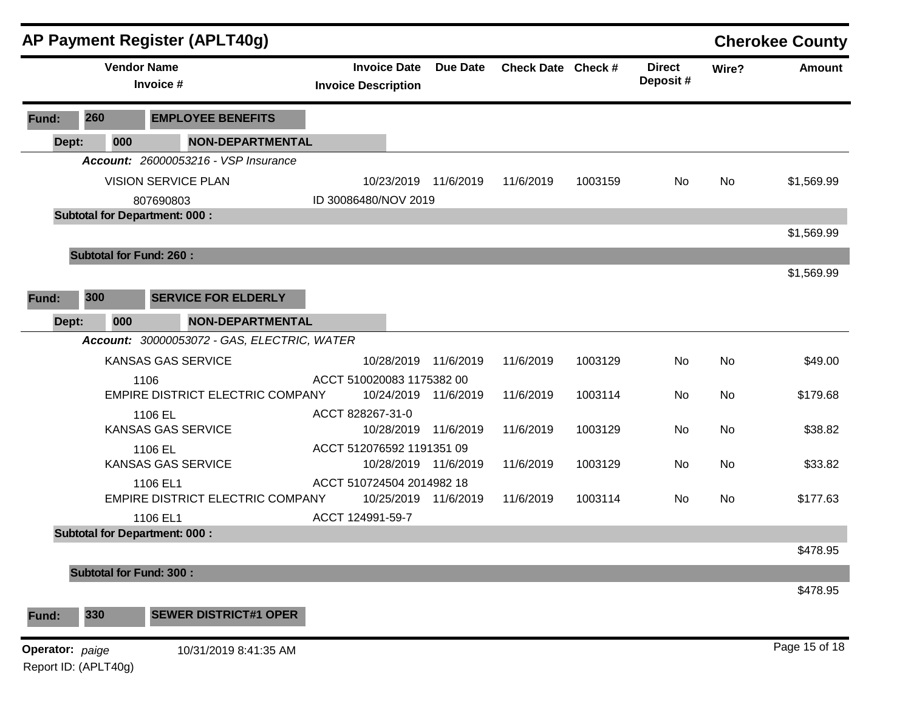|                      |                                | <b>AP Payment Register (APLT40g)</b>        |                                                   |                 |                    |         |                           |       | <b>Cherokee County</b> |
|----------------------|--------------------------------|---------------------------------------------|---------------------------------------------------|-----------------|--------------------|---------|---------------------------|-------|------------------------|
|                      |                                | <b>Vendor Name</b><br>Invoice #             | <b>Invoice Date</b><br><b>Invoice Description</b> | <b>Due Date</b> | Check Date Check # |         | <b>Direct</b><br>Deposit# | Wire? | <b>Amount</b>          |
| Fund:                | 260                            | <b>EMPLOYEE BENEFITS</b>                    |                                                   |                 |                    |         |                           |       |                        |
| Dept:                | 000                            | <b>NON-DEPARTMENTAL</b>                     |                                                   |                 |                    |         |                           |       |                        |
|                      |                                | Account: 26000053216 - VSP Insurance        |                                                   |                 |                    |         |                           |       |                        |
|                      |                                | <b>VISION SERVICE PLAN</b>                  | 10/23/2019 11/6/2019                              |                 | 11/6/2019          | 1003159 | No.                       | No    | \$1,569.99             |
|                      |                                | 807690803                                   | ID 30086480/NOV 2019                              |                 |                    |         |                           |       |                        |
|                      |                                | <b>Subtotal for Department: 000:</b>        |                                                   |                 |                    |         |                           |       |                        |
|                      |                                |                                             |                                                   |                 |                    |         |                           |       | \$1,569.99             |
|                      | <b>Subtotal for Fund: 260:</b> |                                             |                                                   |                 |                    |         |                           |       |                        |
|                      |                                |                                             |                                                   |                 |                    |         |                           |       | \$1,569.99             |
| Fund:                | 300                            | <b>SERVICE FOR ELDERLY</b>                  |                                                   |                 |                    |         |                           |       |                        |
|                      |                                |                                             |                                                   |                 |                    |         |                           |       |                        |
| Dept:                | 000                            | <b>NON-DEPARTMENTAL</b>                     |                                                   |                 |                    |         |                           |       |                        |
|                      |                                | Account: 30000053072 - GAS, ELECTRIC, WATER |                                                   |                 |                    |         |                           |       |                        |
|                      |                                | KANSAS GAS SERVICE                          | 10/28/2019 11/6/2019                              |                 | 11/6/2019          | 1003129 | No                        | No    | \$49.00                |
|                      |                                | 1106                                        | ACCT 510020083 1175382 00                         |                 |                    |         |                           |       |                        |
|                      |                                | EMPIRE DISTRICT ELECTRIC COMPANY            | 10/24/2019 11/6/2019                              |                 | 11/6/2019          | 1003114 | No                        | No    | \$179.68               |
|                      |                                | 1106 EL                                     | ACCT 828267-31-0                                  |                 |                    |         |                           |       |                        |
|                      |                                | KANSAS GAS SERVICE                          | 10/28/2019 11/6/2019                              |                 | 11/6/2019          | 1003129 | No                        | No    | \$38.82                |
|                      |                                | 1106 EL<br>KANSAS GAS SERVICE               | ACCT 512076592 1191351 09<br>10/28/2019 11/6/2019 |                 | 11/6/2019          | 1003129 | No                        | No    | \$33.82                |
|                      |                                | 1106 EL1                                    | ACCT 510724504 2014982 18                         |                 |                    |         |                           |       |                        |
|                      |                                | EMPIRE DISTRICT ELECTRIC COMPANY            | 10/25/2019 11/6/2019                              |                 | 11/6/2019          | 1003114 | No                        | No    | \$177.63               |
|                      |                                | 1106 EL1                                    | ACCT 124991-59-7                                  |                 |                    |         |                           |       |                        |
|                      |                                | <b>Subtotal for Department: 000:</b>        |                                                   |                 |                    |         |                           |       |                        |
|                      |                                |                                             |                                                   |                 |                    |         |                           |       | \$478.95               |
|                      | <b>Subtotal for Fund: 300:</b> |                                             |                                                   |                 |                    |         |                           |       |                        |
|                      |                                |                                             |                                                   |                 |                    |         |                           |       | \$478.95               |
|                      |                                |                                             |                                                   |                 |                    |         |                           |       |                        |
| Fund:                | 330                            | <b>SEWER DISTRICT#1 OPER</b>                |                                                   |                 |                    |         |                           |       |                        |
| Operator: paige      |                                | 10/31/2019 8:41:35 AM                       |                                                   |                 |                    |         |                           |       | Page 15 of 18          |
| Report ID: (APLT40g) |                                |                                             |                                                   |                 |                    |         |                           |       |                        |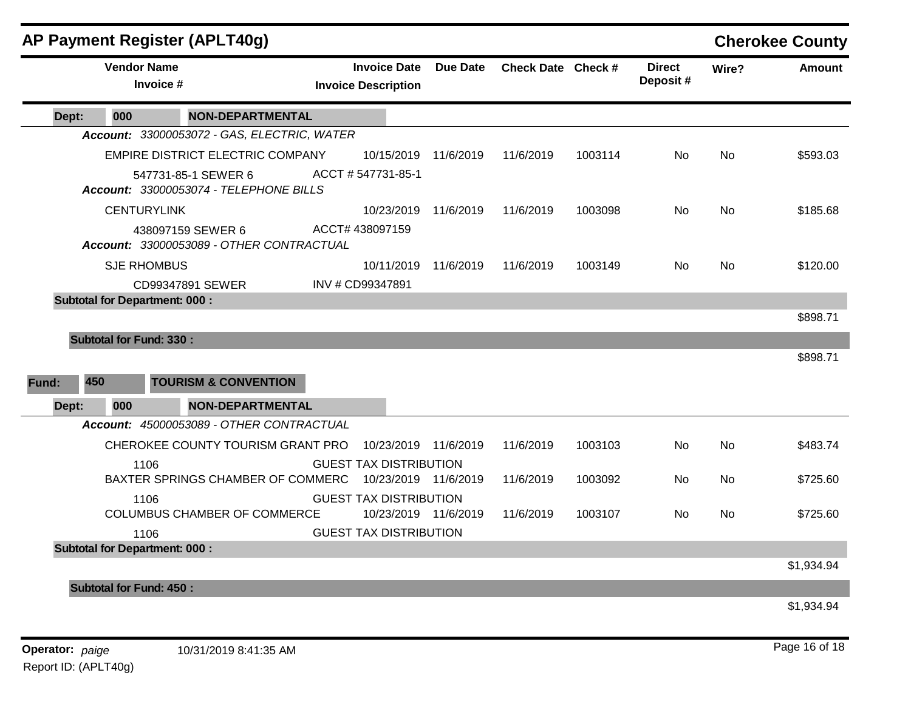|       |                                      | <b>AP Payment Register (APLT40g)</b>                          |                                                   |                      |                    |         |                           |           | <b>Cherokee County</b> |
|-------|--------------------------------------|---------------------------------------------------------------|---------------------------------------------------|----------------------|--------------------|---------|---------------------------|-----------|------------------------|
|       | <b>Vendor Name</b><br>Invoice #      |                                                               | <b>Invoice Date</b><br><b>Invoice Description</b> | <b>Due Date</b>      | Check Date Check # |         | <b>Direct</b><br>Deposit# | Wire?     | <b>Amount</b>          |
| Dept: | 000                                  | <b>NON-DEPARTMENTAL</b>                                       |                                                   |                      |                    |         |                           |           |                        |
|       |                                      | Account: 33000053072 - GAS, ELECTRIC, WATER                   |                                                   |                      |                    |         |                           |           |                        |
|       |                                      | EMPIRE DISTRICT ELECTRIC COMPANY                              | 10/15/2019                                        | 11/6/2019            | 11/6/2019          | 1003114 | No.                       | No.       | \$593.03               |
|       |                                      | 547731-85-1 SEWER 6<br>Account: 33000053074 - TELEPHONE BILLS | ACCT #547731-85-1                                 |                      |                    |         |                           |           |                        |
|       | <b>CENTURYLINK</b>                   |                                                               | 10/23/2019                                        | 11/6/2019            | 11/6/2019          | 1003098 | <b>No</b>                 | <b>No</b> | \$185.68               |
|       |                                      | 438097159 SEWER 6<br>Account: 33000053089 - OTHER CONTRACTUAL | ACCT# 438097159                                   |                      |                    |         |                           |           |                        |
|       | <b>SJE RHOMBUS</b>                   |                                                               | 10/11/2019                                        | 11/6/2019            | 11/6/2019          | 1003149 | No.                       | <b>No</b> | \$120.00               |
|       |                                      | CD99347891 SEWER                                              | INV # CD99347891                                  |                      |                    |         |                           |           |                        |
|       | <b>Subtotal for Department: 000:</b> |                                                               |                                                   |                      |                    |         |                           |           |                        |
|       | <b>Subtotal for Fund: 330:</b>       |                                                               |                                                   |                      |                    |         |                           |           | \$898.71               |
|       |                                      |                                                               |                                                   |                      |                    |         |                           |           | \$898.71               |
|       |                                      |                                                               |                                                   |                      |                    |         |                           |           |                        |
| Fund: | 450                                  | <b>TOURISM &amp; CONVENTION</b>                               |                                                   |                      |                    |         |                           |           |                        |
| Dept: | 000                                  | <b>NON-DEPARTMENTAL</b>                                       |                                                   |                      |                    |         |                           |           |                        |
|       |                                      | Account: 45000053089 - OTHER CONTRACTUAL                      |                                                   |                      |                    |         |                           |           |                        |
|       |                                      | CHEROKEE COUNTY TOURISM GRANT PRO                             | 10/23/2019                                        | 11/6/2019            | 11/6/2019          | 1003103 | No                        | <b>No</b> | \$483.74               |
|       | 1106                                 |                                                               | <b>GUEST TAX DISTRIBUTION</b>                     |                      |                    |         |                           |           |                        |
|       |                                      | BAXTER SPRINGS CHAMBER OF COMMERC                             |                                                   | 10/23/2019 11/6/2019 | 11/6/2019          | 1003092 | No                        | No        | \$725.60               |
|       | 1106                                 |                                                               | <b>GUEST TAX DISTRIBUTION</b>                     |                      |                    |         |                           |           |                        |
|       |                                      | COLUMBUS CHAMBER OF COMMERCE                                  |                                                   | 10/23/2019 11/6/2019 | 11/6/2019          | 1003107 | No.                       | No.       | \$725.60               |
|       | 1106                                 |                                                               | <b>GUEST TAX DISTRIBUTION</b>                     |                      |                    |         |                           |           |                        |
|       | <b>Subtotal for Department: 000:</b> |                                                               |                                                   |                      |                    |         |                           |           |                        |
|       |                                      |                                                               |                                                   |                      |                    |         |                           |           | \$1,934.94             |
|       | <b>Subtotal for Fund: 450:</b>       |                                                               |                                                   |                      |                    |         |                           |           |                        |
|       |                                      |                                                               |                                                   |                      |                    |         |                           |           | \$1.934.94             |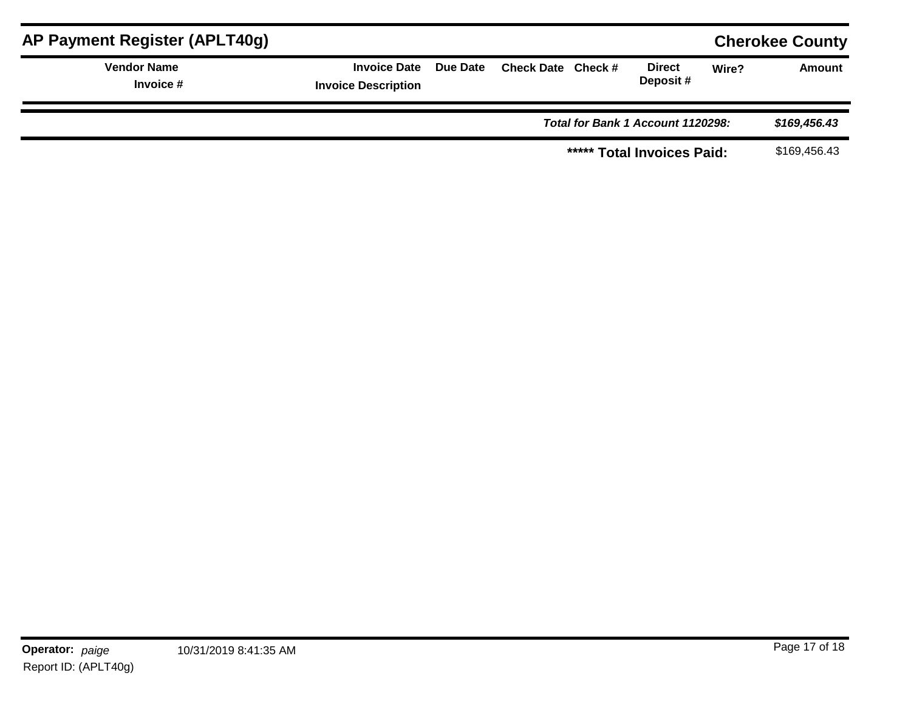| AP Payment Register (APLT40g)     |                                                     |                            |                                   |                           |       | <b>Cherokee County</b> |
|-----------------------------------|-----------------------------------------------------|----------------------------|-----------------------------------|---------------------------|-------|------------------------|
| <b>Vendor Name</b><br>Invoice $#$ | Invoice Date Due Date<br><b>Invoice Description</b> | Check Date Check #         |                                   | <b>Direct</b><br>Deposit# | Wire? | <b>Amount</b>          |
|                                   |                                                     |                            | Total for Bank 1 Account 1120298: | \$169,456.43              |       |                        |
|                                   |                                                     | ***** Total Invoices Paid: |                                   |                           |       | \$169,456.43           |